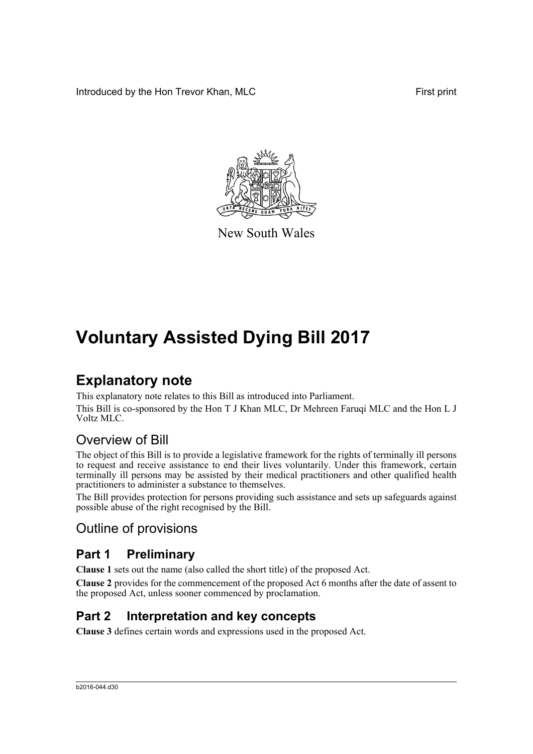Introduced by the Hon Trevor Khan, MLC First print



New South Wales

# **Voluntary Assisted Dying Bill 2017**

# **Explanatory note**

This explanatory note relates to this Bill as introduced into Parliament. This Bill is co-sponsored by the Hon T J Khan MLC, Dr Mehreen Faruqi MLC and the Hon L J Voltz MLC.

# Overview of Bill

The object of this Bill is to provide a legislative framework for the rights of terminally ill persons to request and receive assistance to end their lives voluntarily. Under this framework, certain terminally ill persons may be assisted by their medical practitioners and other qualified health practitioners to administer a substance to themselves.

The Bill provides protection for persons providing such assistance and sets up safeguards against possible abuse of the right recognised by the Bill.

# Outline of provisions

## **Part 1 Preliminary**

**Clause 1** sets out the name (also called the short title) of the proposed Act.

**Clause 2** provides for the commencement of the proposed Act 6 months after the date of assent to the proposed Act, unless sooner commenced by proclamation.

# **Part 2 Interpretation and key concepts**

**Clause 3** defines certain words and expressions used in the proposed Act.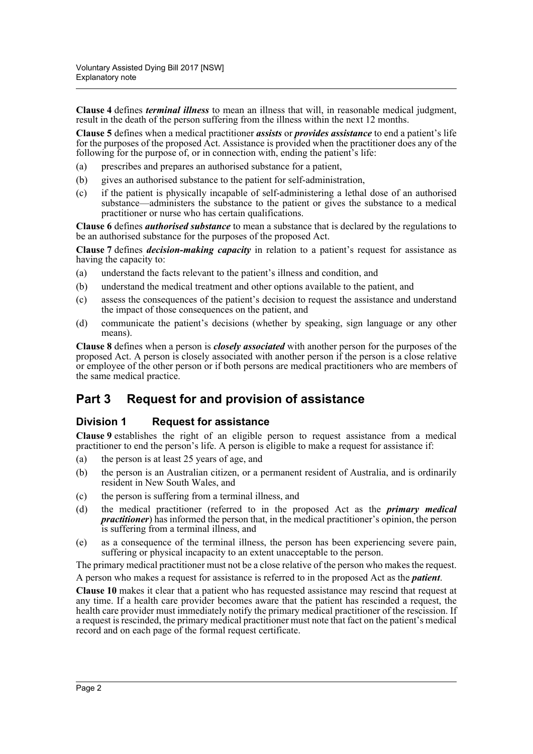**Clause 4** defines *terminal illness* to mean an illness that will, in reasonable medical judgment, result in the death of the person suffering from the illness within the next 12 months.

**Clause 5** defines when a medical practitioner *assists* or *provides assistance* to end a patient's life for the purposes of the proposed Act. Assistance is provided when the practitioner does any of the following for the purpose of, or in connection with, ending the patient's life:

- (a) prescribes and prepares an authorised substance for a patient,
- (b) gives an authorised substance to the patient for self-administration,
- (c) if the patient is physically incapable of self-administering a lethal dose of an authorised substance—administers the substance to the patient or gives the substance to a medical practitioner or nurse who has certain qualifications.

**Clause 6** defines *authorised substance* to mean a substance that is declared by the regulations to be an authorised substance for the purposes of the proposed Act.

**Clause 7** defines *decision-making capacity* in relation to a patient's request for assistance as having the capacity to:

- (a) understand the facts relevant to the patient's illness and condition, and
- (b) understand the medical treatment and other options available to the patient, and
- (c) assess the consequences of the patient's decision to request the assistance and understand the impact of those consequences on the patient, and
- (d) communicate the patient's decisions (whether by speaking, sign language or any other means).

**Clause 8** defines when a person is *closely associated* with another person for the purposes of the proposed Act. A person is closely associated with another person if the person is a close relative or employee of the other person or if both persons are medical practitioners who are members of the same medical practice.

## **Part 3 Request for and provision of assistance**

#### **Division 1 Request for assistance**

**Clause 9** establishes the right of an eligible person to request assistance from a medical practitioner to end the person's life. A person is eligible to make a request for assistance if:

- (a) the person is at least 25 years of age, and
- (b) the person is an Australian citizen, or a permanent resident of Australia, and is ordinarily resident in New South Wales, and
- (c) the person is suffering from a terminal illness, and
- (d) the medical practitioner (referred to in the proposed Act as the *primary medical practitioner*) has informed the person that, in the medical practitioner's opinion, the person is suffering from a terminal illness, and
- (e) as a consequence of the terminal illness, the person has been experiencing severe pain, suffering or physical incapacity to an extent unacceptable to the person.

The primary medical practitioner must not be a close relative of the person who makes the request.

A person who makes a request for assistance is referred to in the proposed Act as the *patient*.

**Clause 10** makes it clear that a patient who has requested assistance may rescind that request at any time. If a health care provider becomes aware that the patient has rescinded a request, the health care provider must immediately notify the primary medical practitioner of the rescission. If a request is rescinded, the primary medical practitioner must note that fact on the patient's medical record and on each page of the formal request certificate.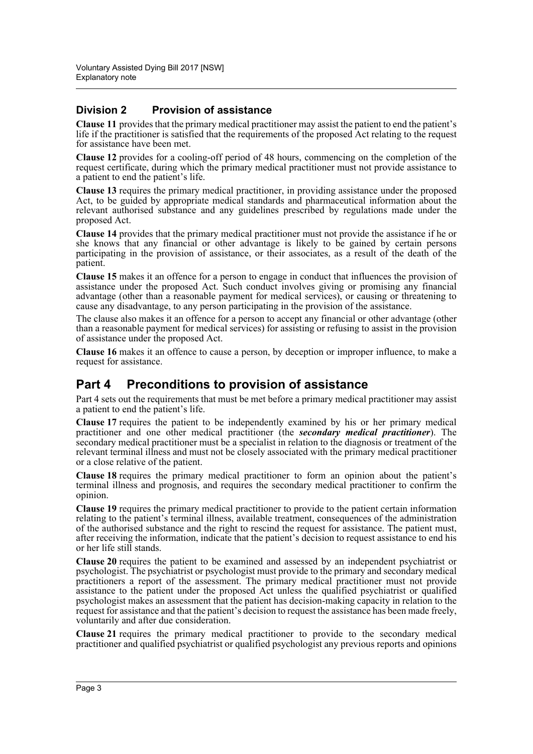### **Division 2 Provision of assistance**

**Clause 11** provides that the primary medical practitioner may assist the patient to end the patient's life if the practitioner is satisfied that the requirements of the proposed Act relating to the request for assistance have been met.

**Clause 12** provides for a cooling-off period of 48 hours, commencing on the completion of the request certificate, during which the primary medical practitioner must not provide assistance to a patient to end the patient's life.

**Clause 13** requires the primary medical practitioner, in providing assistance under the proposed Act, to be guided by appropriate medical standards and pharmaceutical information about the relevant authorised substance and any guidelines prescribed by regulations made under the proposed Act.

**Clause 14** provides that the primary medical practitioner must not provide the assistance if he or she knows that any financial or other advantage is likely to be gained by certain persons participating in the provision of assistance, or their associates, as a result of the death of the patient.

**Clause 15** makes it an offence for a person to engage in conduct that influences the provision of assistance under the proposed Act. Such conduct involves giving or promising any financial advantage (other than a reasonable payment for medical services), or causing or threatening to cause any disadvantage, to any person participating in the provision of the assistance.

The clause also makes it an offence for a person to accept any financial or other advantage (other than a reasonable payment for medical services) for assisting or refusing to assist in the provision of assistance under the proposed Act.

**Clause 16** makes it an offence to cause a person, by deception or improper influence, to make a request for assistance.

## **Part 4 Preconditions to provision of assistance**

Part 4 sets out the requirements that must be met before a primary medical practitioner may assist a patient to end the patient's life.

**Clause 17** requires the patient to be independently examined by his or her primary medical practitioner and one other medical practitioner (the *secondary medical practitioner*). The secondary medical practitioner must be a specialist in relation to the diagnosis or treatment of the relevant terminal illness and must not be closely associated with the primary medical practitioner or a close relative of the patient.

**Clause 18** requires the primary medical practitioner to form an opinion about the patient's terminal illness and prognosis, and requires the secondary medical practitioner to confirm the opinion.

**Clause 19** requires the primary medical practitioner to provide to the patient certain information relating to the patient's terminal illness, available treatment, consequences of the administration of the authorised substance and the right to rescind the request for assistance. The patient must, after receiving the information, indicate that the patient's decision to request assistance to end his or her life still stands.

**Clause 20** requires the patient to be examined and assessed by an independent psychiatrist or psychologist. The psychiatrist or psychologist must provide to the primary and secondary medical practitioners a report of the assessment. The primary medical practitioner must not provide assistance to the patient under the proposed Act unless the qualified psychiatrist or qualified psychologist makes an assessment that the patient has decision-making capacity in relation to the request for assistance and that the patient's decision to request the assistance has been made freely, voluntarily and after due consideration.

**Clause 21** requires the primary medical practitioner to provide to the secondary medical practitioner and qualified psychiatrist or qualified psychologist any previous reports and opinions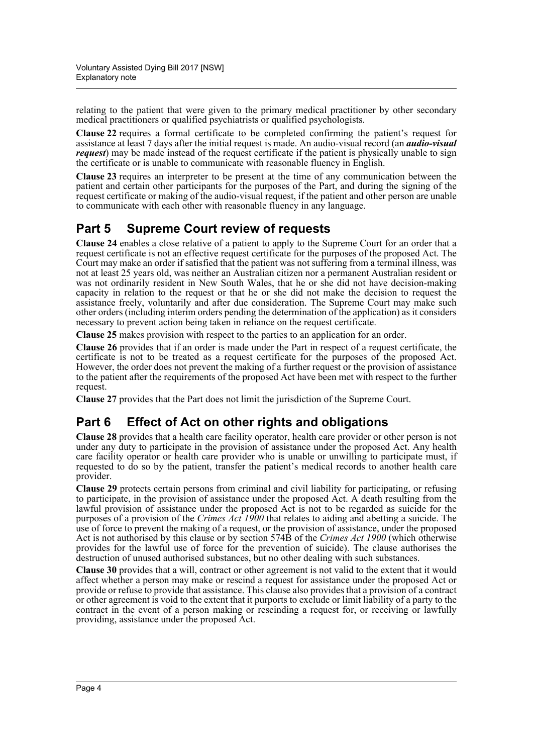relating to the patient that were given to the primary medical practitioner by other secondary medical practitioners or qualified psychiatrists or qualified psychologists.

**Clause 22** requires a formal certificate to be completed confirming the patient's request for assistance at least 7 days after the initial request is made. An audio-visual record (an *audio-visual request*) may be made instead of the request certificate if the patient is physically unable to sign the certificate or is unable to communicate with reasonable fluency in English.

**Clause 23** requires an interpreter to be present at the time of any communication between the patient and certain other participants for the purposes of the Part, and during the signing of the request certificate or making of the audio-visual request, if the patient and other person are unable to communicate with each other with reasonable fluency in any language.

# **Part 5 Supreme Court review of requests**

**Clause 24** enables a close relative of a patient to apply to the Supreme Court for an order that a request certificate is not an effective request certificate for the purposes of the proposed Act. The Court may make an order if satisfied that the patient was not suffering from a terminal illness, was not at least 25 years old, was neither an Australian citizen nor a permanent Australian resident or was not ordinarily resident in New South Wales, that he or she did not have decision-making capacity in relation to the request or that he or she did not make the decision to request the assistance freely, voluntarily and after due consideration. The Supreme Court may make such other orders (including interim orders pending the determination of the application) as it considers necessary to prevent action being taken in reliance on the request certificate.

**Clause 25** makes provision with respect to the parties to an application for an order.

**Clause 26** provides that if an order is made under the Part in respect of a request certificate, the certificate is not to be treated as a request certificate for the purposes of the proposed Act. However, the order does not prevent the making of a further request or the provision of assistance to the patient after the requirements of the proposed Act have been met with respect to the further request.

**Clause 27** provides that the Part does not limit the jurisdiction of the Supreme Court.

# **Part 6 Effect of Act on other rights and obligations**

**Clause 28** provides that a health care facility operator, health care provider or other person is not under any duty to participate in the provision of assistance under the proposed Act. Any health care facility operator or health care provider who is unable or unwilling to participate must, if requested to do so by the patient, transfer the patient's medical records to another health care provider.

**Clause 29** protects certain persons from criminal and civil liability for participating, or refusing to participate, in the provision of assistance under the proposed Act. A death resulting from the lawful provision of assistance under the proposed Act is not to be regarded as suicide for the purposes of a provision of the *Crimes Act 1900* that relates to aiding and abetting a suicide. The use of force to prevent the making of a request, or the provision of assistance, under the proposed Act is not authorised by this clause or by section 574B of the *Crimes Act 1900* (which otherwise provides for the lawful use of force for the prevention of suicide). The clause authorises the destruction of unused authorised substances, but no other dealing with such substances.

**Clause 30** provides that a will, contract or other agreement is not valid to the extent that it would affect whether a person may make or rescind a request for assistance under the proposed Act or provide or refuse to provide that assistance. This clause also provides that a provision of a contract or other agreement is void to the extent that it purports to exclude or limit liability of a party to the contract in the event of a person making or rescinding a request for, or receiving or lawfully providing, assistance under the proposed Act.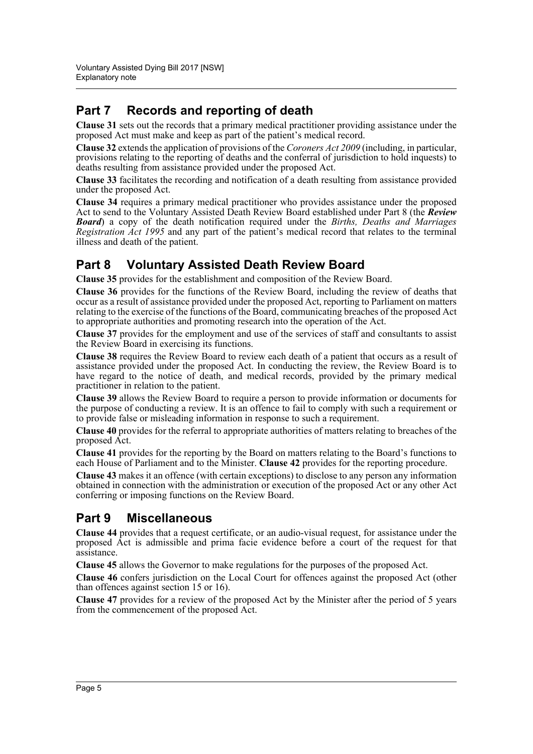# **Part 7 Records and reporting of death**

**Clause 31** sets out the records that a primary medical practitioner providing assistance under the proposed Act must make and keep as part of the patient's medical record.

**Clause 32** extends the application of provisions of the *Coroners Act 2009* (including, in particular, provisions relating to the reporting of deaths and the conferral of jurisdiction to hold inquests) to deaths resulting from assistance provided under the proposed Act.

**Clause 33** facilitates the recording and notification of a death resulting from assistance provided under the proposed Act.

**Clause 34** requires a primary medical practitioner who provides assistance under the proposed Act to send to the Voluntary Assisted Death Review Board established under Part 8 (the *Review Board*) a copy of the death notification required under the *Births, Deaths and Marriages Registration Act 1995* and any part of the patient's medical record that relates to the terminal illness and death of the patient.

## **Part 8 Voluntary Assisted Death Review Board**

**Clause 35** provides for the establishment and composition of the Review Board.

**Clause 36** provides for the functions of the Review Board, including the review of deaths that occur as a result of assistance provided under the proposed Act, reporting to Parliament on matters relating to the exercise of the functions of the Board, communicating breaches of the proposed Act to appropriate authorities and promoting research into the operation of the Act.

**Clause 37** provides for the employment and use of the services of staff and consultants to assist the Review Board in exercising its functions.

**Clause 38** requires the Review Board to review each death of a patient that occurs as a result of assistance provided under the proposed Act. In conducting the review, the Review Board is to have regard to the notice of death, and medical records, provided by the primary medical practitioner in relation to the patient.

**Clause 39** allows the Review Board to require a person to provide information or documents for the purpose of conducting a review. It is an offence to fail to comply with such a requirement or to provide false or misleading information in response to such a requirement.

**Clause 40** provides for the referral to appropriate authorities of matters relating to breaches of the proposed Act.

**Clause 41** provides for the reporting by the Board on matters relating to the Board's functions to each House of Parliament and to the Minister. **Clause 42** provides for the reporting procedure.

**Clause 43** makes it an offence (with certain exceptions) to disclose to any person any information obtained in connection with the administration or execution of the proposed Act or any other Act conferring or imposing functions on the Review Board.

# **Part 9 Miscellaneous**

**Clause 44** provides that a request certificate, or an audio-visual request, for assistance under the proposed Act is admissible and prima facie evidence before a court of the request for that assistance.

**Clause 45** allows the Governor to make regulations for the purposes of the proposed Act.

**Clause 46** confers jurisdiction on the Local Court for offences against the proposed Act (other than offences against section 15 or 16).

**Clause 47** provides for a review of the proposed Act by the Minister after the period of 5 years from the commencement of the proposed Act.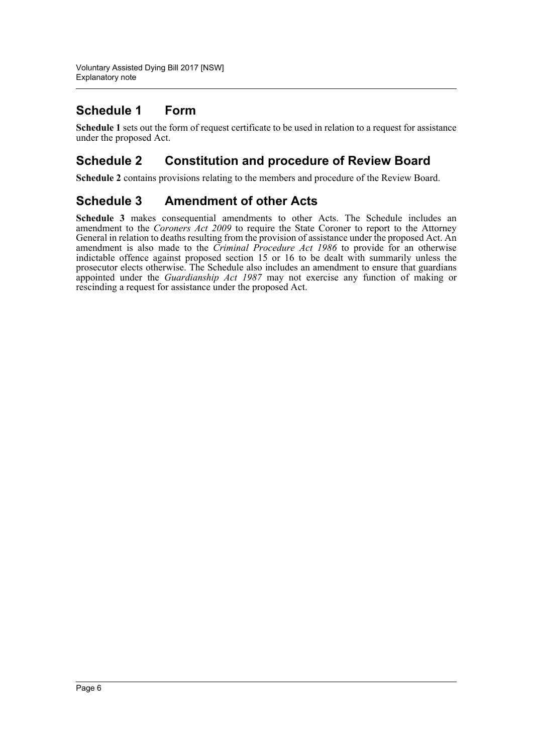# **Schedule 1 Form**

**Schedule 1** sets out the form of request certificate to be used in relation to a request for assistance under the proposed Act.

## **Schedule 2 Constitution and procedure of Review Board**

**Schedule 2** contains provisions relating to the members and procedure of the Review Board.

## **Schedule 3 Amendment of other Acts**

**Schedule 3** makes consequential amendments to other Acts. The Schedule includes an amendment to the *Coroners Act 2009* to require the State Coroner to report to the Attorney General in relation to deaths resulting from the provision of assistance under the proposed Act. An amendment is also made to the *Criminal Procedure Act 1986* to provide for an otherwise indictable offence against proposed section 15 or 16 to be dealt with summarily unless the prosecutor elects otherwise. The Schedule also includes an amendment to ensure that guardians appointed under the *Guardianship Act 1987* may not exercise any function of making or rescinding a request for assistance under the proposed Act.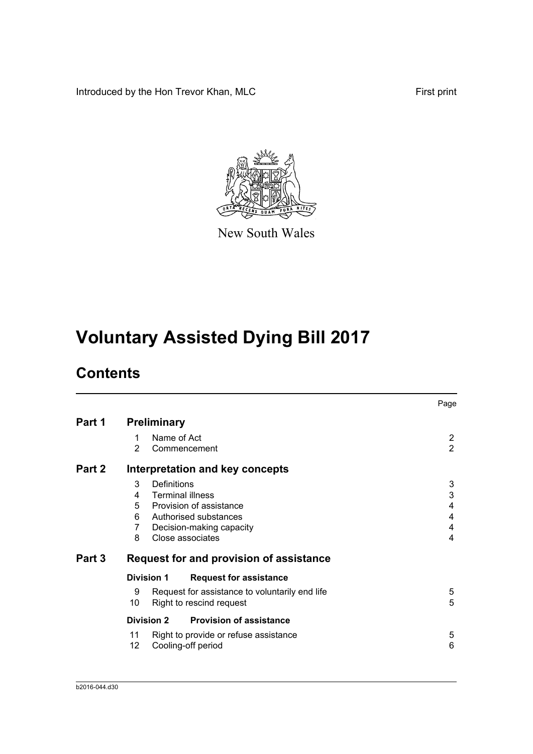Introduced by the Hon Trevor Khan, MLC First print



New South Wales

# **Voluntary Assisted Dying Bill 2017**

# **Contents**

|        |                                     |                                                                                                                                       | Page                             |
|--------|-------------------------------------|---------------------------------------------------------------------------------------------------------------------------------------|----------------------------------|
| Part 1 | <b>Preliminary</b>                  |                                                                                                                                       |                                  |
|        | 1<br>2                              | Name of Act<br>Commencement                                                                                                           | $\overline{2}$<br>$\overline{2}$ |
| Part 2 |                                     | Interpretation and key concepts                                                                                                       |                                  |
|        | 3<br>4<br>6.<br>$\overline{7}$<br>8 | Definitions<br>Terminal illness<br>5 Provision of assistance<br>Authorised substances<br>Decision-making capacity<br>Close associates | 3<br>3<br>4<br>4<br>4<br>4       |
| Part 3 |                                     | Request for and provision of assistance                                                                                               |                                  |
|        | <b>Division 1</b>                   | <b>Request for assistance</b>                                                                                                         |                                  |
|        | 9<br>10                             | Request for assistance to voluntarily end life<br>Right to rescind request                                                            | 5<br>5                           |
|        | <b>Division 2</b>                   | <b>Provision of assistance</b>                                                                                                        |                                  |
|        | 11<br>12                            | Right to provide or refuse assistance<br>Cooling-off period                                                                           | 5<br>6                           |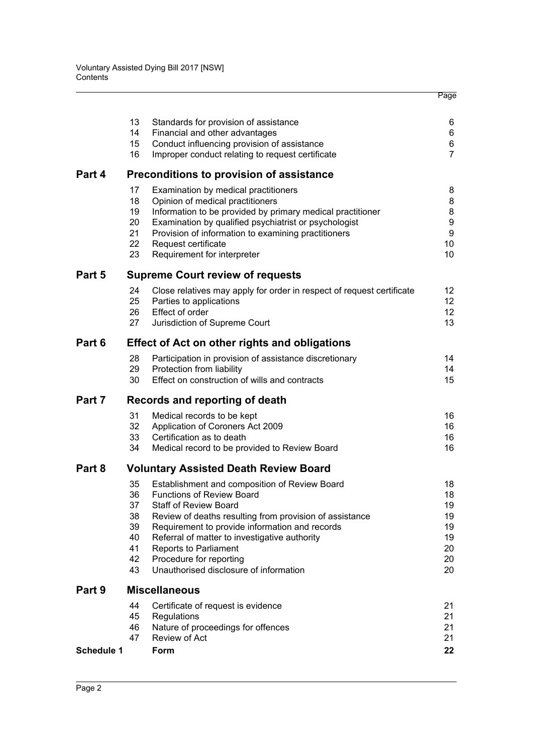|            | 13       | Standards for provision of assistance                                                           | 6                   |
|------------|----------|-------------------------------------------------------------------------------------------------|---------------------|
|            | 14       | Financial and other advantages                                                                  | 6                   |
|            | 15<br>16 | Conduct influencing provision of assistance<br>Improper conduct relating to request certificate | 6<br>$\overline{7}$ |
|            |          |                                                                                                 |                     |
| Part 4     |          | Preconditions to provision of assistance                                                        |                     |
|            | 17       | Examination by medical practitioners                                                            | 8                   |
|            | 18<br>19 | Opinion of medical practitioners<br>Information to be provided by primary medical practitioner  | 8<br>8              |
|            | 20       | Examination by qualified psychiatrist or psychologist                                           | 9                   |
|            | 21       | Provision of information to examining practitioners                                             | 9                   |
|            | 22       | Request certificate                                                                             | 10                  |
|            | 23       | Requirement for interpreter                                                                     | 10                  |
| Part 5     |          | <b>Supreme Court review of requests</b>                                                         |                     |
|            | 24       | Close relatives may apply for order in respect of request certificate                           | 12                  |
|            | 25       | Parties to applications                                                                         | 12                  |
|            | 26<br>27 | Effect of order<br>Jurisdiction of Supreme Court                                                | 12<br>13            |
|            |          |                                                                                                 |                     |
| Part 6     |          | <b>Effect of Act on other rights and obligations</b>                                            |                     |
|            | 28       | Participation in provision of assistance discretionary                                          | 14                  |
|            | 29<br>30 | Protection from liability<br>Effect on construction of wills and contracts                      | 14<br>15            |
|            |          |                                                                                                 |                     |
| Part 7     |          | Records and reporting of death                                                                  |                     |
|            | 31       | Medical records to be kept                                                                      | 16                  |
|            | 32       | Application of Coroners Act 2009                                                                | 16                  |
|            | 33<br>34 | Certification as to death<br>Medical record to be provided to Review Board                      | 16<br>16            |
|            |          |                                                                                                 |                     |
| Part 8     |          | <b>Voluntary Assisted Death Review Board</b>                                                    |                     |
|            | 35       | Establishment and composition of Review Board                                                   | 18                  |
|            | 36<br>37 | <b>Functions of Review Board</b><br><b>Staff of Review Board</b>                                | 18<br>19            |
|            | 38       | Review of deaths resulting from provision of assistance                                         | 19                  |
|            | 39       | Requirement to provide information and records                                                  | 19                  |
|            | 40       | Referral of matter to investigative authority                                                   | 19                  |
|            | 41       | <b>Reports to Parliament</b>                                                                    | 20                  |
|            | 42<br>43 | Procedure for reporting<br>Unauthorised disclosure of information                               | 20<br>20            |
|            |          |                                                                                                 |                     |
| Part 9     |          | <b>Miscellaneous</b>                                                                            |                     |
|            | 44       | Certificate of request is evidence                                                              | 21                  |
|            | 45<br>46 | Regulations<br>Nature of proceedings for offences                                               | 21<br>21            |
|            | 47       | Review of Act                                                                                   | 21                  |
| Schedule 1 |          | Form                                                                                            | 22                  |
|            |          |                                                                                                 |                     |

Page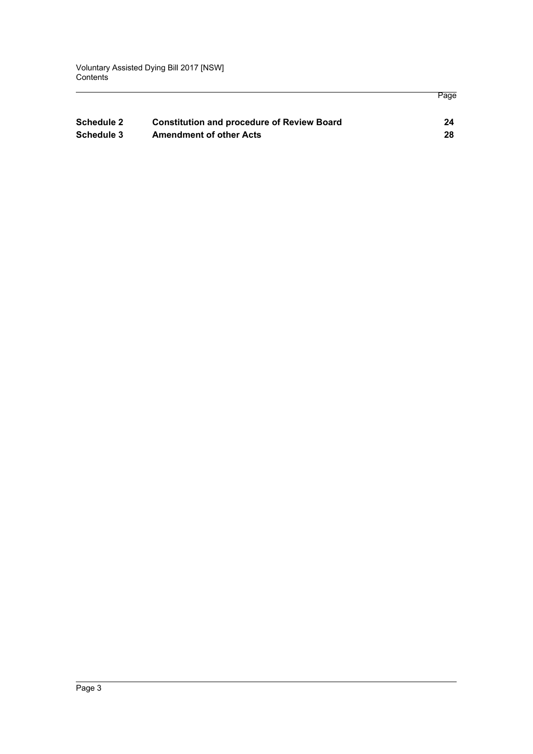| <b>Schedule 2</b> | <b>Constitution and procedure of Review Board</b> | 24 |
|-------------------|---------------------------------------------------|----|
| Schedule 3        | <b>Amendment of other Acts</b>                    | 28 |

Page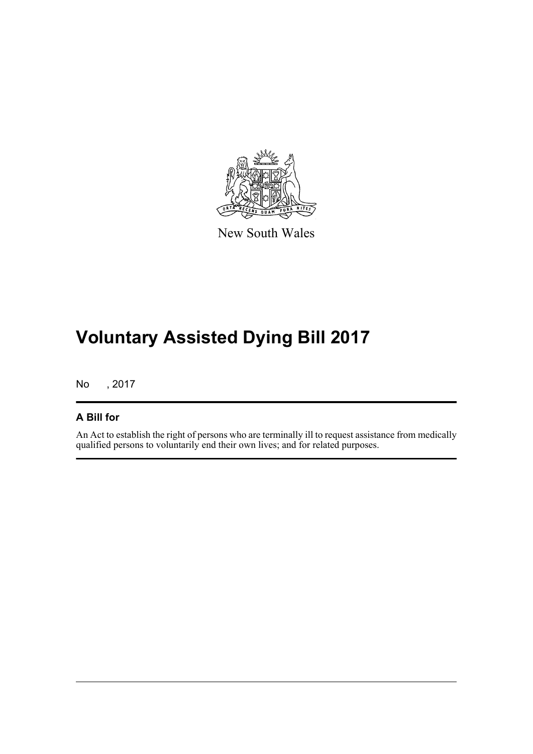

New South Wales

# **Voluntary Assisted Dying Bill 2017**

No , 2017

### **A Bill for**

An Act to establish the right of persons who are terminally ill to request assistance from medically qualified persons to voluntarily end their own lives; and for related purposes.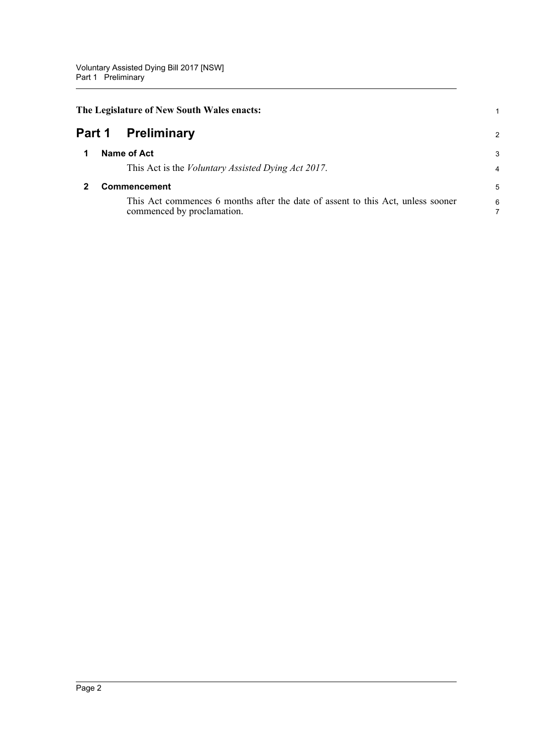<span id="page-10-2"></span><span id="page-10-1"></span><span id="page-10-0"></span>

|        | The Legislature of New South Wales enacts: |                                                                                                               |                     |
|--------|--------------------------------------------|---------------------------------------------------------------------------------------------------------------|---------------------|
| Part 1 |                                            | <b>Preliminary</b>                                                                                            | 2                   |
|        |                                            | Name of Act<br>This Act is the <i>Voluntary Assisted Dying Act 2017</i> .                                     | 3<br>$\overline{4}$ |
|        |                                            | Commencement                                                                                                  | 5                   |
|        |                                            | This Act commences 6 months after the date of assent to this Act, unless sooner<br>commenced by proclamation. | 6                   |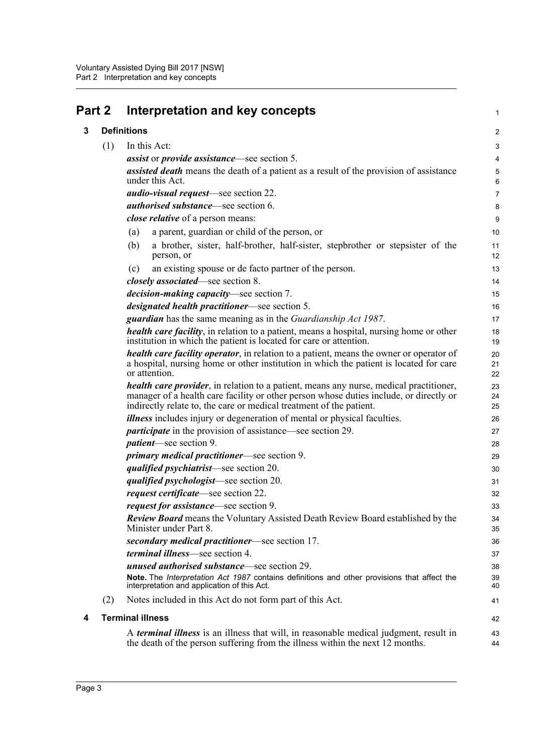<span id="page-11-2"></span><span id="page-11-1"></span><span id="page-11-0"></span>

| Part 2 |     | Interpretation and key concepts                                                                                                                                                                                                                                 | $\mathbf{1}$   |
|--------|-----|-----------------------------------------------------------------------------------------------------------------------------------------------------------------------------------------------------------------------------------------------------------------|----------------|
| 3      |     | <b>Definitions</b>                                                                                                                                                                                                                                              | 2              |
|        | (1) | In this Act:                                                                                                                                                                                                                                                    | 3              |
|        |     | <i>assist</i> or <i>provide assistance</i> —see section 5.                                                                                                                                                                                                      | 4              |
|        |     | <b>assisted death</b> means the death of a patient as a result of the provision of assistance<br>under this Act.                                                                                                                                                | 5<br>6         |
|        |     | <i>audio-visual request</i> —see section 22.                                                                                                                                                                                                                    | $\overline{7}$ |
|        |     | <i>authorised substance</i> —see section 6.                                                                                                                                                                                                                     | 8              |
|        |     | close relative of a person means:                                                                                                                                                                                                                               | 9              |
|        |     | a parent, guardian or child of the person, or<br>(a)                                                                                                                                                                                                            | 10             |
|        |     | a brother, sister, half-brother, half-sister, stepbrother or stepsister of the<br>(b)<br>person, or                                                                                                                                                             | 11<br>12       |
|        |     | an existing spouse or de facto partner of the person.<br>(c)                                                                                                                                                                                                    | 13             |
|        |     | <i>closely associated</i> —see section 8.                                                                                                                                                                                                                       | 14             |
|        |     | <i>decision-making capacity</i> —see section 7.                                                                                                                                                                                                                 | 15             |
|        |     | <i>designated health practitioner</i> —see section 5.                                                                                                                                                                                                           | 16             |
|        |     | <b>guardian</b> has the same meaning as in the <i>Guardianship Act 1987</i> .                                                                                                                                                                                   | 17             |
|        |     | <i>health care facility</i> , in relation to a patient, means a hospital, nursing home or other<br>institution in which the patient is located for care or attention.                                                                                           | 18<br>19       |
|        |     | health care facility operator, in relation to a patient, means the owner or operator of<br>a hospital, nursing home or other institution in which the patient is located for care<br>or attention.                                                              | 20<br>21<br>22 |
|        |     | <b>health care provider</b> , in relation to a patient, means any nurse, medical practitioner,<br>manager of a health care facility or other person whose duties include, or directly or<br>indirectly relate to, the care or medical treatment of the patient. | 23<br>24<br>25 |
|        |     | <i>illness</i> includes injury or degeneration of mental or physical faculties.                                                                                                                                                                                 | 26             |
|        |     | <i>participate</i> in the provision of assistance—see section 29.                                                                                                                                                                                               | 27             |
|        |     | <i>patient</i> —see section 9.                                                                                                                                                                                                                                  | 28             |
|        |     | <i>primary medical practitioner</i> —see section 9.                                                                                                                                                                                                             | 29             |
|        |     | qualified psychiatrist-see section 20.                                                                                                                                                                                                                          | 30             |
|        |     | <i>qualified psychologist</i> —see section 20.                                                                                                                                                                                                                  | 31             |
|        |     | <i>request certificate</i> —see section 22.                                                                                                                                                                                                                     | 32             |
|        |     | <i>request for assistance</i> —see section 9.                                                                                                                                                                                                                   | 33             |
|        |     | <b>Review Board</b> means the Voluntary Assisted Death Review Board established by the<br>Minister under Part 8.                                                                                                                                                | 34<br>35       |
|        |     | secondary medical practitioner—see section 17.                                                                                                                                                                                                                  | 36             |
|        |     | <i>terminal illness</i> —see section 4.                                                                                                                                                                                                                         | 37             |
|        |     | <b>unused authorised substance—see section 29.</b>                                                                                                                                                                                                              | 38             |
|        |     | Note. The Interpretation Act 1987 contains definitions and other provisions that affect the<br>interpretation and application of this Act.                                                                                                                      | 39<br>40       |
|        | (2) | Notes included in this Act do not form part of this Act.                                                                                                                                                                                                        | 41             |
| 4      |     | <b>Terminal illness</b>                                                                                                                                                                                                                                         | 42             |
|        |     | A <i>terminal illness</i> is an illness that will, in reasonable medical judgment, result in<br>the death of the person suffering from the illness within the next 12 months.                                                                                   | 43<br>44       |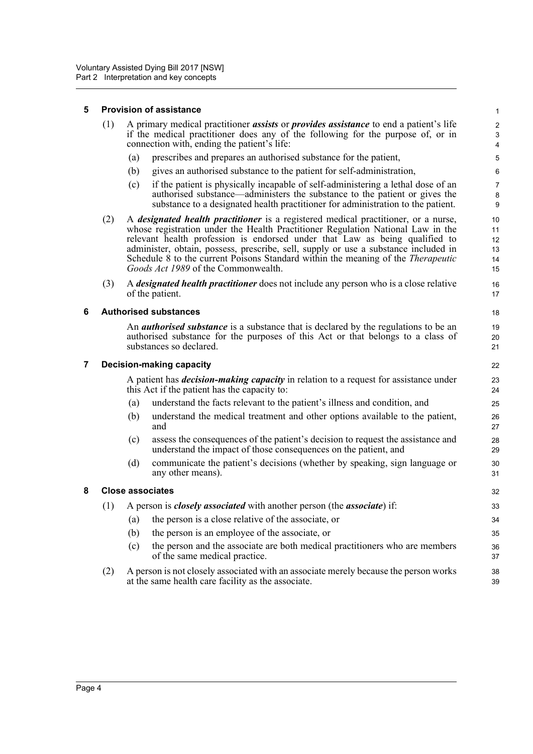#### <span id="page-12-0"></span>**5 Provision of assistance**

| (1) A primary medical practitioner <i>assists</i> or <i>provides assistance</i> to end a patient's life |
|---------------------------------------------------------------------------------------------------------|
| if the medical practitioner does any of the following for the purpose of, or in                         |
| connection with, ending the patient's life:                                                             |

- (a) prescribes and prepares an authorised substance for the patient,
- (b) gives an authorised substance to the patient for self-administration,
- (c) if the patient is physically incapable of self-administering a lethal dose of an authorised substance—administers the substance to the patient or gives the substance to a designated health practitioner for administration to the patient.

- (2) A *designated health practitioner* is a registered medical practitioner, or a nurse, whose registration under the Health Practitioner Regulation National Law in the relevant health profession is endorsed under that Law as being qualified to administer, obtain, possess, prescribe, sell, supply or use a substance included in Schedule 8 to the current Poisons Standard within the meaning of the *Therapeutic Goods Act 1989* of the Commonwealth.
- (3) A *designated health practitioner* does not include any person who is a close relative of the patient.

#### <span id="page-12-1"></span>**6 Authorised substances**

An *authorised substance* is a substance that is declared by the regulations to be an authorised substance for the purposes of this Act or that belongs to a class of substances so declared.

#### <span id="page-12-2"></span>**7 Decision-making capacity**

A patient has *decision-making capacity* in relation to a request for assistance under this Act if the patient has the capacity to:

- (a) understand the facts relevant to the patient's illness and condition, and
- (b) understand the medical treatment and other options available to the patient, and
- (c) assess the consequences of the patient's decision to request the assistance and understand the impact of those consequences on the patient, and
- (d) communicate the patient's decisions (whether by speaking, sign language or any other means).

#### <span id="page-12-3"></span>**8 Close associates**

(1) A person is *closely associated* with another person (the *associate*) if:

- (a) the person is a close relative of the associate, or
- (b) the person is an employee of the associate, or
- (c) the person and the associate are both medical practitioners who are members of the same medical practice.
- (2) A person is not closely associated with an associate merely because the person works at the same health care facility as the associate. 38 39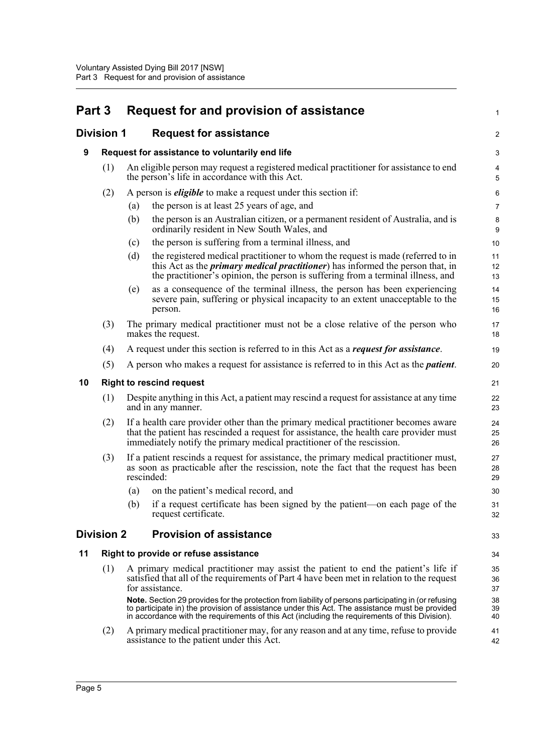<span id="page-13-5"></span><span id="page-13-4"></span><span id="page-13-3"></span><span id="page-13-2"></span><span id="page-13-1"></span><span id="page-13-0"></span>

| Part 3 |                                       |     | Request for and provision of assistance                                                                                                                                                                                                                                                                  | 1              |
|--------|---------------------------------------|-----|----------------------------------------------------------------------------------------------------------------------------------------------------------------------------------------------------------------------------------------------------------------------------------------------------------|----------------|
|        | <b>Division 1</b>                     |     | <b>Request for assistance</b>                                                                                                                                                                                                                                                                            | $\overline{c}$ |
| 9      |                                       |     | Request for assistance to voluntarily end life                                                                                                                                                                                                                                                           | 3              |
|        | (1)                                   |     | An eligible person may request a registered medical practitioner for assistance to end<br>the person's life in accordance with this Act.                                                                                                                                                                 | 4<br>5         |
|        | (2)                                   |     | A person is <i>eligible</i> to make a request under this section if:                                                                                                                                                                                                                                     | 6              |
|        |                                       | (a) | the person is at least 25 years of age, and                                                                                                                                                                                                                                                              | 7              |
|        |                                       | (b) | the person is an Australian citizen, or a permanent resident of Australia, and is<br>ordinarily resident in New South Wales, and                                                                                                                                                                         | 8<br>9         |
|        |                                       | (c) | the person is suffering from a terminal illness, and                                                                                                                                                                                                                                                     | 10             |
|        |                                       | (d) | the registered medical practitioner to whom the request is made (referred to in<br>this Act as the <i>primary medical practitioner</i> ) has informed the person that, in<br>the practitioner's opinion, the person is suffering from a terminal illness, and                                            | 11<br>12<br>13 |
|        |                                       | (e) | as a consequence of the terminal illness, the person has been experiencing<br>severe pain, suffering or physical incapacity to an extent unacceptable to the<br>person.                                                                                                                                  | 14<br>15<br>16 |
|        | (3)                                   |     | The primary medical practitioner must not be a close relative of the person who<br>makes the request.                                                                                                                                                                                                    | 17<br>18       |
|        | (4)                                   |     | A request under this section is referred to in this Act as a <i>request for assistance</i> .                                                                                                                                                                                                             | 19             |
|        | (5)                                   |     | A person who makes a request for assistance is referred to in this Act as the <i>patient</i> .                                                                                                                                                                                                           | 20             |
| 10     |                                       |     | <b>Right to rescind request</b>                                                                                                                                                                                                                                                                          | 21             |
|        | (1)                                   |     | Despite anything in this Act, a patient may rescind a request for assistance at any time<br>and in any manner.                                                                                                                                                                                           | 22<br>23       |
|        | (2)                                   |     | If a health care provider other than the primary medical practitioner becomes aware<br>that the patient has rescinded a request for assistance, the health care provider must<br>immediately notify the primary medical practitioner of the rescission.                                                  | 24<br>25<br>26 |
|        | (3)                                   |     | If a patient rescinds a request for assistance, the primary medical practitioner must,<br>as soon as practicable after the rescission, note the fact that the request has been<br>rescinded:                                                                                                             | 27<br>28<br>29 |
|        |                                       | (a) | on the patient's medical record, and                                                                                                                                                                                                                                                                     | 30             |
|        |                                       |     | (b) if a request certificate has been signed by the patient-on each page of the<br>request certificate.                                                                                                                                                                                                  | 31<br>32       |
|        | <b>Division 2</b>                     |     | <b>Provision of assistance</b>                                                                                                                                                                                                                                                                           | 33             |
| 11     | Right to provide or refuse assistance |     |                                                                                                                                                                                                                                                                                                          | 34             |
|        | (1)                                   |     | A primary medical practitioner may assist the patient to end the patient's life if<br>satisfied that all of the requirements of Part 4 have been met in relation to the request<br>for assistance.                                                                                                       | 35<br>36<br>37 |
|        |                                       |     | Note. Section 29 provides for the protection from liability of persons participating in (or refusing<br>to participate in) the provision of assistance under this Act. The assistance must be provided<br>in accordance with the requirements of this Act (including the requirements of this Division). | 38<br>39<br>40 |
|        | (2)                                   |     | A primary medical practitioner may, for any reason and at any time, refuse to provide<br>assistance to the patient under this Act.                                                                                                                                                                       | 41<br>42       |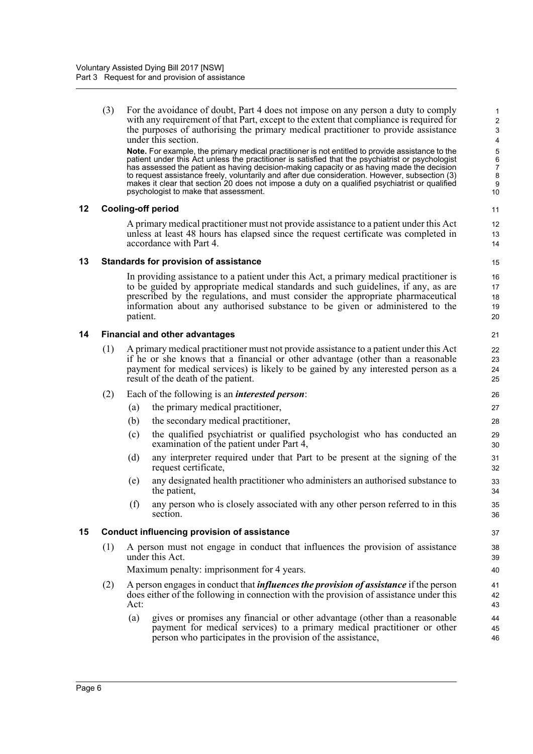(3) For the avoidance of doubt, Part 4 does not impose on any person a duty to comply with any requirement of that Part, except to the extent that compliance is required for the purposes of authorising the primary medical practitioner to provide assistance under this section.

**Note.** For example, the primary medical practitioner is not entitled to provide assistance to the patient under this Act unless the practitioner is satisfied that the psychiatrist or psychologist has assessed the patient as having decision-making capacity or as having made the decision to request assistance freely, voluntarily and after due consideration. However, subsection (3) makes it clear that section 20 does not impose a duty on a qualified psychiatrist or qualified psychologist to make that assessment.

#### <span id="page-14-0"></span>**12 Cooling-off period**

A primary medical practitioner must not provide assistance to a patient under this Act unless at least 48 hours has elapsed since the request certificate was completed in accordance with Part 4.

#### <span id="page-14-1"></span>**13 Standards for provision of assistance**

In providing assistance to a patient under this Act, a primary medical practitioner is to be guided by appropriate medical standards and such guidelines, if any, as are prescribed by the regulations, and must consider the appropriate pharmaceutical information about any authorised substance to be given or administered to the patient.

#### <span id="page-14-2"></span>**14 Financial and other advantages**

- (1) A primary medical practitioner must not provide assistance to a patient under this Act if he or she knows that a financial or other advantage (other than a reasonable payment for medical services) is likely to be gained by any interested person as a result of the death of the patient.
- (2) Each of the following is an *interested person*:
	- (a) the primary medical practitioner,
	- (b) the secondary medical practitioner,
	- (c) the qualified psychiatrist or qualified psychologist who has conducted an examination of the patient under Part 4,
	- (d) any interpreter required under that Part to be present at the signing of the request certificate,
	- (e) any designated health practitioner who administers an authorised substance to the patient,
	- (f) any person who is closely associated with any other person referred to in this section.

#### <span id="page-14-3"></span>**15 Conduct influencing provision of assistance**

(1) A person must not engage in conduct that influences the provision of assistance under this Act.

Maximum penalty: imprisonment for 4 years.

- (2) A person engages in conduct that *influences the provision of assistance* if the person does either of the following in connection with the provision of assistance under this Act:
	- (a) gives or promises any financial or other advantage (other than a reasonable payment for medical services) to a primary medical practitioner or other person who participates in the provision of the assistance,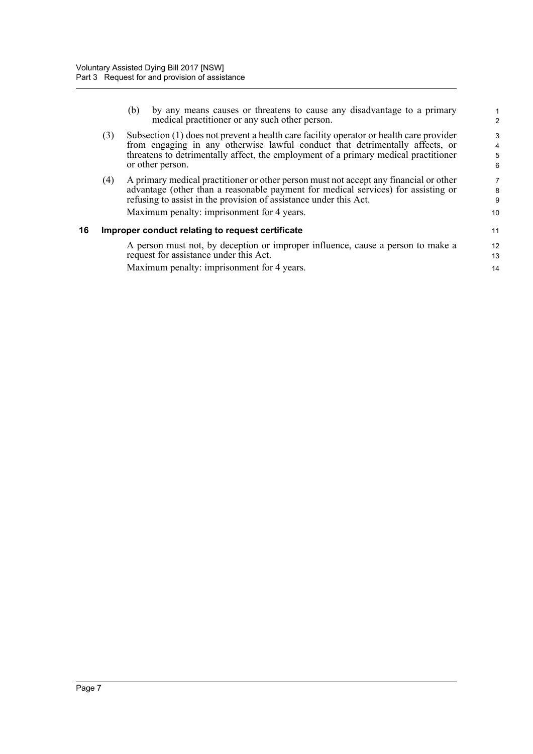<span id="page-15-0"></span>

|    |     | by any means causes or threatens to cause any disadvantage to a primary<br>(b)<br>medical practitioner or any such other person.                                                                                                                                                              | $\overline{2}$   |
|----|-----|-----------------------------------------------------------------------------------------------------------------------------------------------------------------------------------------------------------------------------------------------------------------------------------------------|------------------|
|    | (3) | Subsection (1) does not prevent a health care facility operator or health care provider<br>from engaging in any otherwise lawful conduct that detrimentally affects, or<br>threatens to detrimentally affect, the employment of a primary medical practitioner<br>or other person.            | 3<br>4<br>5<br>6 |
|    | (4) | A primary medical practitioner or other person must not accept any financial or other<br>advantage (other than a reasonable payment for medical services) for assisting or<br>refusing to assist in the provision of assistance under this Act.<br>Maximum penalty: imprisonment for 4 years. | 8<br>9<br>10     |
| 16 |     | Improper conduct relating to request certificate                                                                                                                                                                                                                                              | 11               |
|    |     | A person must not, by deception or improper influence, cause a person to make a<br>request for assistance under this Act.                                                                                                                                                                     | 12<br>13         |
|    |     | Maximum penalty: imprisonment for 4 years.                                                                                                                                                                                                                                                    | 14               |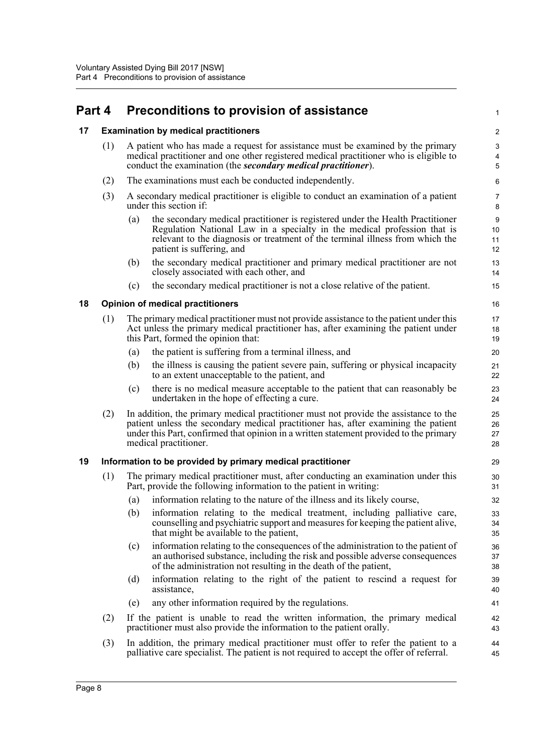# <span id="page-16-0"></span>**Part 4 Preconditions to provision of assistance**

#### <span id="page-16-1"></span>**17 Examination by medical practitioners**

| (1) A patient who has made a request for assistance must be examined by the primary   |
|---------------------------------------------------------------------------------------|
| medical practitioner and one other registered medical practitioner who is eligible to |
| conduct the examination (the <i>secondary medical practitioner</i> ).                 |

1

- (2) The examinations must each be conducted independently.
- (3) A secondary medical practitioner is eligible to conduct an examination of a patient under this section if:
	- (a) the secondary medical practitioner is registered under the Health Practitioner Regulation National Law in a specialty in the medical profession that is relevant to the diagnosis or treatment of the terminal illness from which the patient is suffering, and
	- (b) the secondary medical practitioner and primary medical practitioner are not closely associated with each other, and
	- (c) the secondary medical practitioner is not a close relative of the patient.

#### <span id="page-16-2"></span>**18 Opinion of medical practitioners**

- (1) The primary medical practitioner must not provide assistance to the patient under this Act unless the primary medical practitioner has, after examining the patient under this Part, formed the opinion that:
	- (a) the patient is suffering from a terminal illness, and
	- (b) the illness is causing the patient severe pain, suffering or physical incapacity to an extent unacceptable to the patient, and
	- (c) there is no medical measure acceptable to the patient that can reasonably be undertaken in the hope of effecting a cure.
- (2) In addition, the primary medical practitioner must not provide the assistance to the patient unless the secondary medical practitioner has, after examining the patient under this Part, confirmed that opinion in a written statement provided to the primary medical practitioner.

#### <span id="page-16-3"></span>**19 Information to be provided by primary medical practitioner**

- (1) The primary medical practitioner must, after conducting an examination under this Part, provide the following information to the patient in writing:
	- (a) information relating to the nature of the illness and its likely course,
	- (b) information relating to the medical treatment, including palliative care, counselling and psychiatric support and measures for keeping the patient alive, that might be available to the patient,
	- (c) information relating to the consequences of the administration to the patient of an authorised substance, including the risk and possible adverse consequences of the administration not resulting in the death of the patient,
	- (d) information relating to the right of the patient to rescind a request for assistance,
	- (e) any other information required by the regulations.
- (2) If the patient is unable to read the written information, the primary medical practitioner must also provide the information to the patient orally.
- (3) In addition, the primary medical practitioner must offer to refer the patient to a palliative care specialist. The patient is not required to accept the offer of referral.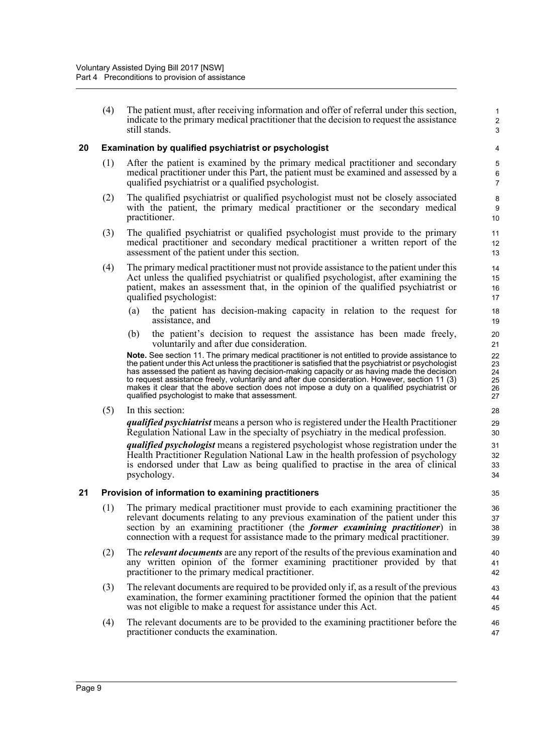(4) The patient must, after receiving information and offer of referral under this section, indicate to the primary medical practitioner that the decision to request the assistance still stands.

1 2 3

#### <span id="page-17-0"></span>**20 Examination by qualified psychiatrist or psychologist**

- (1) After the patient is examined by the primary medical practitioner and secondary medical practitioner under this Part, the patient must be examined and assessed by a qualified psychiatrist or a qualified psychologist.
- (2) The qualified psychiatrist or qualified psychologist must not be closely associated with the patient, the primary medical practitioner or the secondary medical practitioner.
- (3) The qualified psychiatrist or qualified psychologist must provide to the primary medical practitioner and secondary medical practitioner a written report of the assessment of the patient under this section.
- (4) The primary medical practitioner must not provide assistance to the patient under this Act unless the qualified psychiatrist or qualified psychologist, after examining the patient, makes an assessment that, in the opinion of the qualified psychiatrist or qualified psychologist:
	- (a) the patient has decision-making capacity in relation to the request for assistance, and
	- (b) the patient's decision to request the assistance has been made freely, voluntarily and after due consideration.

**Note.** See section 11. The primary medical practitioner is not entitled to provide assistance to the patient under this Act unless the practitioner is satisfied that the psychiatrist or psychologist has assessed the patient as having decision-making capacity or as having made the decision to request assistance freely, voluntarily and after due consideration. However, section 11 (3) makes it clear that the above section does not impose a duty on a qualified psychiatrist or qualified psychologist to make that assessment.

(5) In this section:

*qualified psychiatrist* means a person who is registered under the Health Practitioner Regulation National Law in the specialty of psychiatry in the medical profession.

*qualified psychologist* means a registered psychologist whose registration under the Health Practitioner Regulation National Law in the health profession of psychology is endorsed under that Law as being qualified to practise in the area of clinical psychology.

#### <span id="page-17-1"></span>**21 Provision of information to examining practitioners**

- (1) The primary medical practitioner must provide to each examining practitioner the relevant documents relating to any previous examination of the patient under this section by an examining practitioner (the *former examining practitioner*) in connection with a request for assistance made to the primary medical practitioner.
- (2) The *relevant documents* are any report of the results of the previous examination and any written opinion of the former examining practitioner provided by that practitioner to the primary medical practitioner.
- (3) The relevant documents are required to be provided only if, as a result of the previous examination, the former examining practitioner formed the opinion that the patient was not eligible to make a request for assistance under this Act.
- (4) The relevant documents are to be provided to the examining practitioner before the practitioner conducts the examination.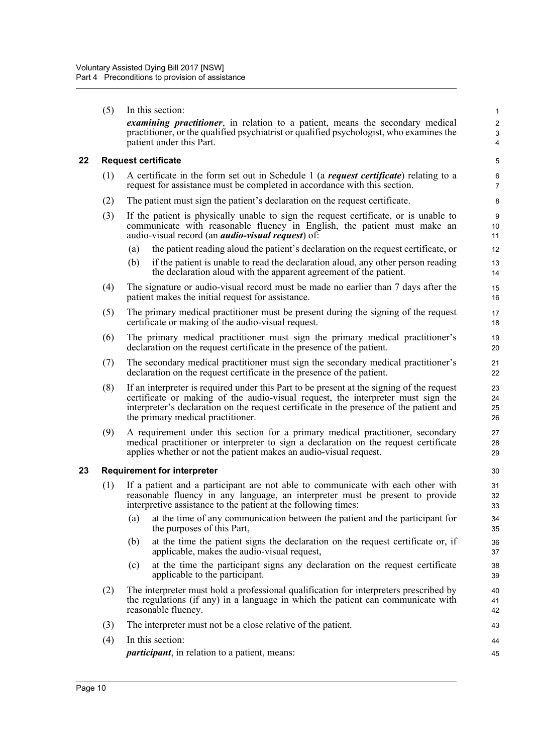<span id="page-18-1"></span><span id="page-18-0"></span>

|    | (5) | In this section:                                                                                                                                                                                                                                                                                              | $\mathbf{1}$               |
|----|-----|---------------------------------------------------------------------------------------------------------------------------------------------------------------------------------------------------------------------------------------------------------------------------------------------------------------|----------------------------|
|    |     | <i>examining practitioner</i> , in relation to a patient, means the secondary medical<br>practitioner, or the qualified psychiatrist or qualified psychologist, who examines the<br>patient under this Part.                                                                                                  | $\boldsymbol{2}$<br>3<br>4 |
| 22 |     | <b>Request certificate</b>                                                                                                                                                                                                                                                                                    | 5                          |
|    | (1) | A certificate in the form set out in Schedule 1 (a request certificate) relating to a<br>request for assistance must be completed in accordance with this section.                                                                                                                                            | 6<br>7                     |
|    | (2) | The patient must sign the patient's declaration on the request certificate.                                                                                                                                                                                                                                   | 8                          |
|    | (3) | If the patient is physically unable to sign the request certificate, or is unable to<br>communicate with reasonable fluency in English, the patient must make an<br>audio-visual record (an <i>audio-visual request</i> ) of:                                                                                 | 9<br>10<br>11              |
|    |     | the patient reading aloud the patient's declaration on the request certificate, or<br>(a)                                                                                                                                                                                                                     | 12                         |
|    |     | if the patient is unable to read the declaration aloud, any other person reading<br>(b)<br>the declaration aloud with the apparent agreement of the patient.                                                                                                                                                  | 13<br>14                   |
|    | (4) | The signature or audio-visual record must be made no earlier than 7 days after the<br>patient makes the initial request for assistance.                                                                                                                                                                       | 15<br>16                   |
|    | (5) | The primary medical practitioner must be present during the signing of the request<br>certificate or making of the audio-visual request.                                                                                                                                                                      | 17<br>18                   |
|    | (6) | The primary medical practitioner must sign the primary medical practitioner's<br>declaration on the request certificate in the presence of the patient.                                                                                                                                                       | 19<br>20                   |
|    | (7) | The secondary medical practitioner must sign the secondary medical practitioner's<br>declaration on the request certificate in the presence of the patient.                                                                                                                                                   | 21<br>22                   |
|    | (8) | If an interpreter is required under this Part to be present at the signing of the request<br>certificate or making of the audio-visual request, the interpreter must sign the<br>interpreter's declaration on the request certificate in the presence of the patient and<br>the primary medical practitioner. | 23<br>24<br>25<br>26       |
|    | (9) | A requirement under this section for a primary medical practitioner, secondary<br>medical practitioner or interpreter to sign a declaration on the request certificate<br>applies whether or not the patient makes an audio-visual request.                                                                   | 27<br>28<br>29             |
| 23 |     | <b>Requirement for interpreter</b>                                                                                                                                                                                                                                                                            | 30                         |
|    | (1) | If a patient and a participant are not able to communicate with each other with<br>reasonable fluency in any language, an interpreter must be present to provide<br>interpretive assistance to the patient at the following times:                                                                            | 31<br>32<br>33             |
|    |     | at the time of any communication between the patient and the participant for<br>(a)<br>the purposes of this Part,                                                                                                                                                                                             | 34<br>35                   |
|    |     | at the time the patient signs the declaration on the request certificate or, if<br>(b)<br>applicable, makes the audio-visual request,                                                                                                                                                                         | 36<br>37                   |
|    |     | at the time the participant signs any declaration on the request certificate<br>(c)<br>applicable to the participant.                                                                                                                                                                                         | 38<br>39                   |
|    | (2) | The interpreter must hold a professional qualification for interpreters prescribed by<br>the regulations (if any) in a language in which the patient can communicate with<br>reasonable fluency.                                                                                                              | 40<br>41<br>42             |
|    | (3) | The interpreter must not be a close relative of the patient.                                                                                                                                                                                                                                                  | 43                         |
|    | (4) | In this section:                                                                                                                                                                                                                                                                                              | 44                         |
|    |     | <i>participant</i> , in relation to a patient, means:                                                                                                                                                                                                                                                         | 45                         |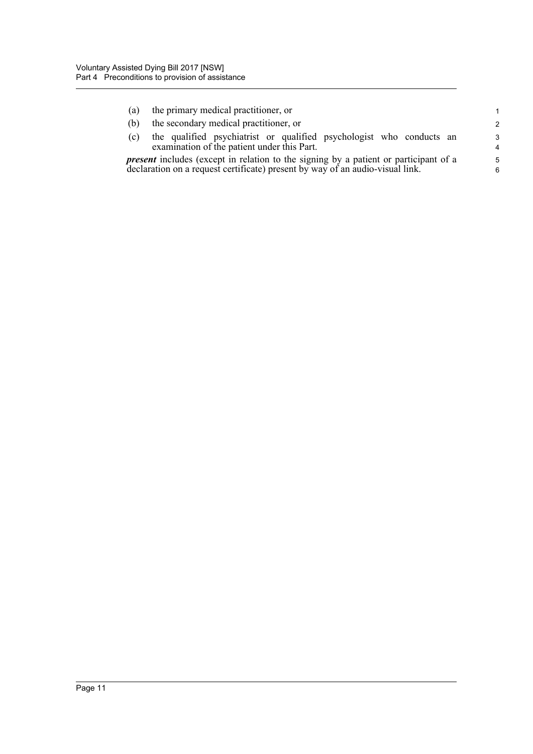| (a) | the primary medical practitioner, or                                                                                | $\mathbf{1}$       |
|-----|---------------------------------------------------------------------------------------------------------------------|--------------------|
| (b) | the secondary medical practitioner, or                                                                              | $\mathcal{P}$      |
| (c) | the qualified psychiatrist or qualified psychologist who conducts an<br>examination of the patient under this Part. | $\mathcal{R}$<br>4 |
|     | <i>present</i> includes (except in relation to the signing by a patient or participant of a                         | $5^{\circ}$        |
|     | declaration on a request certificate) present by way of an audio-visual link.                                       | 6                  |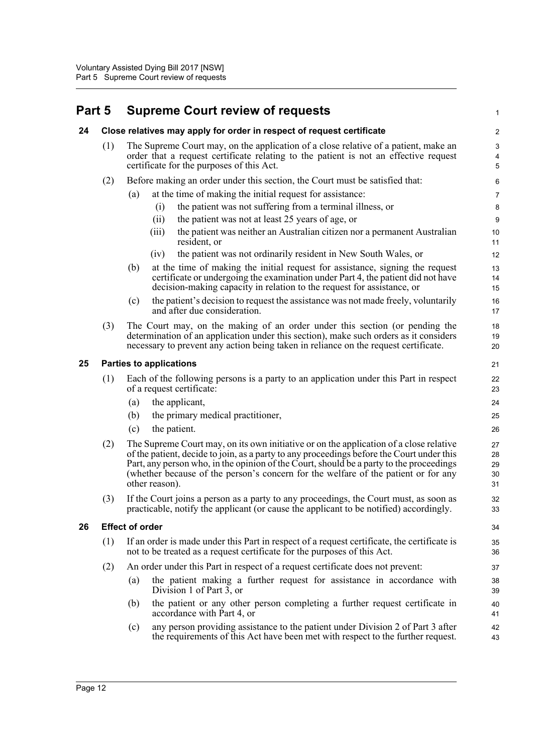# <span id="page-20-0"></span>**Part 5 Supreme Court review of requests**

<span id="page-20-3"></span><span id="page-20-2"></span><span id="page-20-1"></span>

| 24 |     |                        | Close relatives may apply for order in respect of request certificate                                                                                                                                                                                                                                                                                                                  | $\sqrt{2}$                          |
|----|-----|------------------------|----------------------------------------------------------------------------------------------------------------------------------------------------------------------------------------------------------------------------------------------------------------------------------------------------------------------------------------------------------------------------------------|-------------------------------------|
|    | (1) |                        | The Supreme Court may, on the application of a close relative of a patient, make an<br>order that a request certificate relating to the patient is not an effective request<br>certificate for the purposes of this Act.                                                                                                                                                               | $\mathbf{3}$<br>$\overline{4}$<br>5 |
|    | (2) |                        | Before making an order under this section, the Court must be satisfied that:                                                                                                                                                                                                                                                                                                           | 6                                   |
|    |     | (a)                    | at the time of making the initial request for assistance:                                                                                                                                                                                                                                                                                                                              | 7                                   |
|    |     |                        | the patient was not suffering from a terminal illness, or<br>(i)                                                                                                                                                                                                                                                                                                                       | 8                                   |
|    |     |                        | the patient was not at least 25 years of age, or<br>(ii)                                                                                                                                                                                                                                                                                                                               | $\boldsymbol{9}$                    |
|    |     |                        | the patient was neither an Australian citizen nor a permanent Australian<br>(iii)<br>resident, or                                                                                                                                                                                                                                                                                      | 10<br>11                            |
|    |     |                        | the patient was not ordinarily resident in New South Wales, or<br>(iv)                                                                                                                                                                                                                                                                                                                 | 12                                  |
|    |     | (b)                    | at the time of making the initial request for assistance, signing the request<br>certificate or undergoing the examination under Part 4, the patient did not have<br>decision-making capacity in relation to the request for assistance, or                                                                                                                                            | 13<br>14<br>15                      |
|    |     | (c)                    | the patient's decision to request the assistance was not made freely, voluntarily<br>and after due consideration.                                                                                                                                                                                                                                                                      | 16<br>17                            |
|    | (3) |                        | The Court may, on the making of an order under this section (or pending the<br>determination of an application under this section), make such orders as it considers<br>necessary to prevent any action being taken in reliance on the request certificate.                                                                                                                            | 18<br>19<br>20                      |
| 25 |     |                        | <b>Parties to applications</b>                                                                                                                                                                                                                                                                                                                                                         | 21                                  |
|    | (1) |                        | Each of the following persons is a party to an application under this Part in respect<br>of a request certificate:                                                                                                                                                                                                                                                                     | 22<br>23                            |
|    |     | (a)                    | the applicant,                                                                                                                                                                                                                                                                                                                                                                         | 24                                  |
|    |     | (b)                    | the primary medical practitioner,                                                                                                                                                                                                                                                                                                                                                      | 25                                  |
|    |     | (c)                    | the patient.                                                                                                                                                                                                                                                                                                                                                                           | 26                                  |
|    | (2) |                        | The Supreme Court may, on its own initiative or on the application of a close relative<br>of the patient, decide to join, as a party to any proceedings before the Court under this<br>Part, any person who, in the opinion of the Court, should be a party to the proceedings<br>(whether because of the person's concern for the welfare of the patient or for any<br>other reason). | 27<br>28<br>29<br>30<br>31          |
|    | (3) |                        | If the Court joins a person as a party to any proceedings, the Court must, as soon as<br>practicable, notify the applicant (or cause the applicant to be notified) accordingly.                                                                                                                                                                                                        | 32<br>33                            |
| 26 |     | <b>Effect of order</b> |                                                                                                                                                                                                                                                                                                                                                                                        | 34                                  |
|    | (1) |                        | If an order is made under this Part in respect of a request certificate, the certificate is<br>not to be treated as a request certificate for the purposes of this Act.                                                                                                                                                                                                                | 35<br>36                            |
|    | (2) |                        | An order under this Part in respect of a request certificate does not prevent:                                                                                                                                                                                                                                                                                                         | 37                                  |
|    |     | (a)                    | the patient making a further request for assistance in accordance with<br>Division 1 of Part $\overline{3}$ , or                                                                                                                                                                                                                                                                       | 38<br>39                            |
|    |     | (b)                    | the patient or any other person completing a further request certificate in<br>accordance with Part 4, or                                                                                                                                                                                                                                                                              | 40<br>41                            |
|    |     | (c)                    | any person providing assistance to the patient under Division 2 of Part 3 after<br>the requirements of this Act have been met with respect to the further request.                                                                                                                                                                                                                     | 42<br>43                            |
|    |     |                        |                                                                                                                                                                                                                                                                                                                                                                                        |                                     |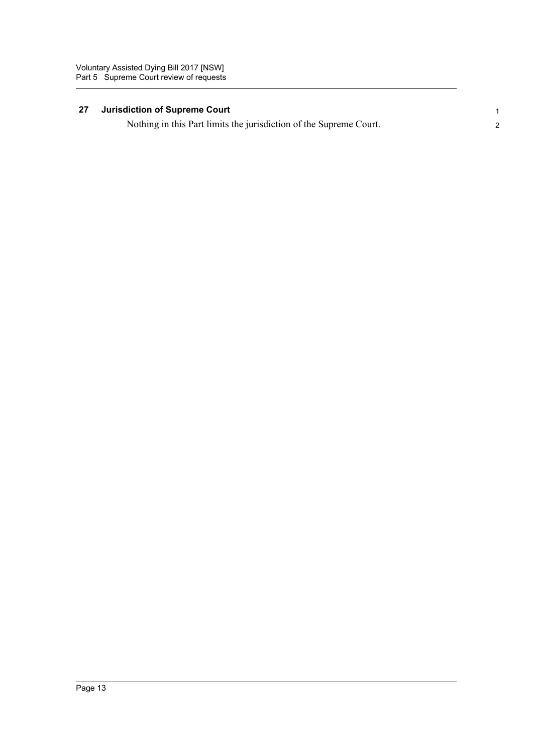#### <span id="page-21-0"></span>**27 Jurisdiction of Supreme Court**

Nothing in this Part limits the jurisdiction of the Supreme Court.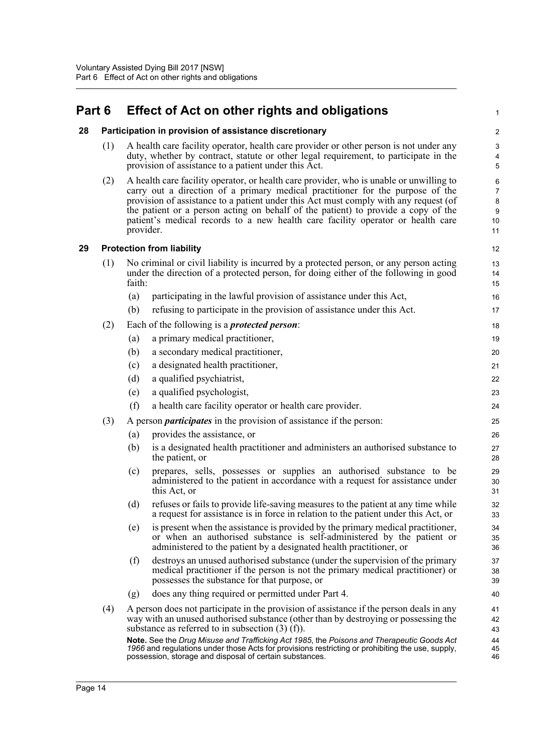# <span id="page-22-0"></span>**Part 6 Effect of Act on other rights and obligations**

#### <span id="page-22-1"></span>**28 Participation in provision of assistance discretionary**

(1) A health care facility operator, health care provider or other person is not under any duty, whether by contract, statute or other legal requirement, to participate in the provision of assistance to a patient under this Act.

1

45 46

(2) A health care facility operator, or health care provider, who is unable or unwilling to carry out a direction of a primary medical practitioner for the purpose of the provision of assistance to a patient under this Act must comply with any request (of the patient or a person acting on behalf of the patient) to provide a copy of the patient's medical records to a new health care facility operator or health care provider.

#### <span id="page-22-2"></span>**29 Protection from liability**

| (1) | faith: | No criminal or civil liability is incurred by a protected person, or any person acting<br>under the direction of a protected person, for doing either of the following in good |
|-----|--------|--------------------------------------------------------------------------------------------------------------------------------------------------------------------------------|
|     |        | participating in the lawful provision of assistance under this Act,                                                                                                            |
|     |        | $(1)$ as finite to montificate in the magnitude of excitence and online $\Lambda$ at                                                                                           |

|     | (b)                                                                                       | refusing to participate in the provision of assistance under this Act.                                                                                                                                                               | 17             |  |  |  |
|-----|-------------------------------------------------------------------------------------------|--------------------------------------------------------------------------------------------------------------------------------------------------------------------------------------------------------------------------------------|----------------|--|--|--|
| (2) |                                                                                           | Each of the following is a <i>protected person</i> :                                                                                                                                                                                 | 18             |  |  |  |
|     | (a)                                                                                       | a primary medical practitioner,                                                                                                                                                                                                      | 19             |  |  |  |
|     | (b)                                                                                       | a secondary medical practitioner,                                                                                                                                                                                                    | 20             |  |  |  |
|     | (c)                                                                                       | a designated health practitioner,                                                                                                                                                                                                    | 21             |  |  |  |
|     | (d)                                                                                       | a qualified psychiatrist,                                                                                                                                                                                                            | 22             |  |  |  |
|     | (e)                                                                                       | a qualified psychologist,                                                                                                                                                                                                            | 23             |  |  |  |
|     | (f)                                                                                       | a health care facility operator or health care provider.                                                                                                                                                                             | 24             |  |  |  |
| (3) |                                                                                           | A person <i>participates</i> in the provision of assistance if the person:                                                                                                                                                           | 25             |  |  |  |
|     | (a)                                                                                       | provides the assistance, or                                                                                                                                                                                                          | 26             |  |  |  |
|     | (b)                                                                                       | is a designated health practitioner and administers an authorised substance to<br>the patient, or                                                                                                                                    | 27<br>28       |  |  |  |
|     | (c)                                                                                       | prepares, sells, possesses or supplies an authorised substance to be<br>administered to the patient in accordance with a request for assistance under<br>this Act, or                                                                | 29<br>30<br>31 |  |  |  |
|     | (d)                                                                                       | refuses or fails to provide life-saving measures to the patient at any time while<br>a request for assistance is in force in relation to the patient under this Act, or                                                              | 32<br>33       |  |  |  |
|     | (e)                                                                                       | is present when the assistance is provided by the primary medical practitioner,<br>or when an authorised substance is self-administered by the patient or<br>administered to the patient by a designated health practitioner, or     | 34<br>35<br>36 |  |  |  |
|     | (f)                                                                                       | destroys an unused authorised substance (under the supervision of the primary<br>medical practitioner if the person is not the primary medical practitioner) or<br>possesses the substance for that purpose, or                      | 37<br>38<br>39 |  |  |  |
|     | (g)                                                                                       | does any thing required or permitted under Part 4.                                                                                                                                                                                   | 40             |  |  |  |
| (4) |                                                                                           | A person does not participate in the provision of assistance if the person deals in any<br>way with an unused authorised substance (other than by destroying or possessing the<br>substance as referred to in subsection $(3)$ (f)). | 41<br>42<br>43 |  |  |  |
|     | Note. See the Drua Misuse and Trafficking Act 1985, the Poisons and Therapeutic Goods Act |                                                                                                                                                                                                                                      |                |  |  |  |

**Note.** See the *Drug Misuse and Trafficking Act 1985*, the *Poisons and Therapeutic Goods Act 1966* and regulations under those Acts for provisions restricting or prohibiting the use, supply, possession, storage and disposal of certain substances.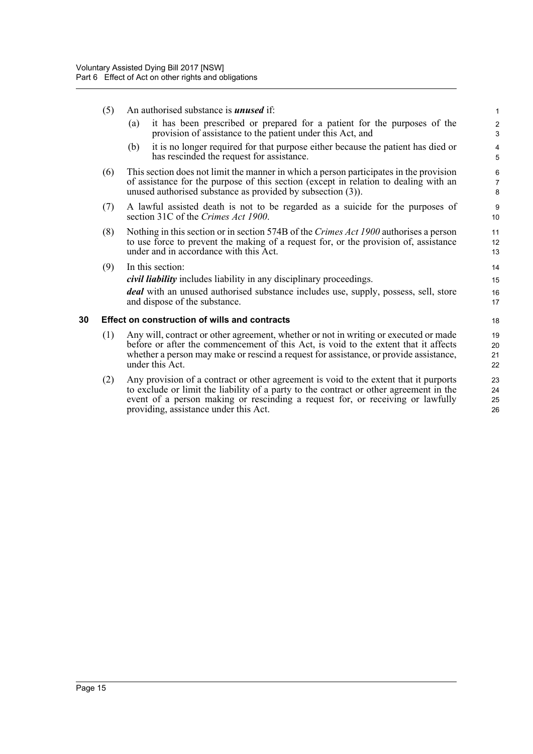- (5) An authorised substance is *unused* if:
	- (a) it has been prescribed or prepared for a patient for the purposes of the provision of assistance to the patient under this Act, and

- (b) it is no longer required for that purpose either because the patient has died or has rescinded the request for assistance.
- (6) This section does not limit the manner in which a person participates in the provision of assistance for the purpose of this section (except in relation to dealing with an unused authorised substance as provided by subsection (3)).
- (7) A lawful assisted death is not to be regarded as a suicide for the purposes of section 31C of the *Crimes Act 1900*.
- (8) Nothing in this section or in section 574B of the *Crimes Act 1900* authorises a person to use force to prevent the making of a request for, or the provision of, assistance under and in accordance with this Act.
- (9) In this section:

*civil liability* includes liability in any disciplinary proceedings.

*deal* with an unused authorised substance includes use, supply, possess, sell, store and dispose of the substance.

#### <span id="page-23-0"></span>**30 Effect on construction of wills and contracts**

- (1) Any will, contract or other agreement, whether or not in writing or executed or made before or after the commencement of this Act, is void to the extent that it affects whether a person may make or rescind a request for assistance, or provide assistance, under this Act.
- (2) Any provision of a contract or other agreement is void to the extent that it purports to exclude or limit the liability of a party to the contract or other agreement in the event of a person making or rescinding a request for, or receiving or lawfully providing, assistance under this Act.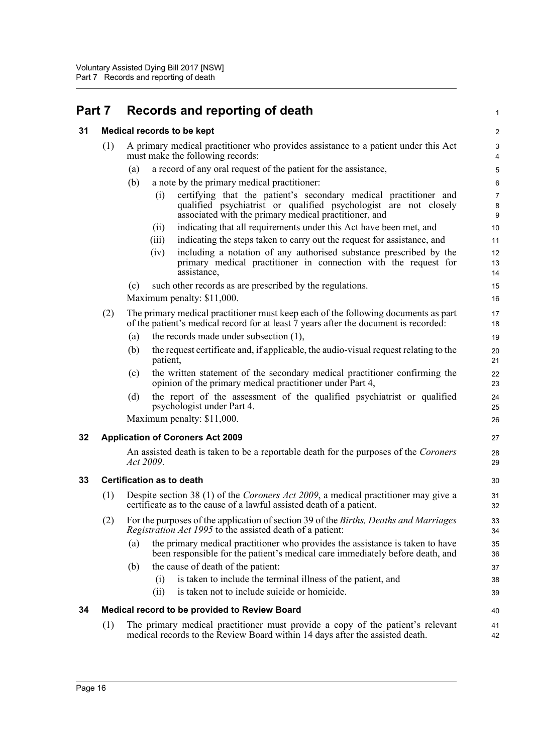# <span id="page-24-0"></span>**Part 7 Records and reporting of death**

<span id="page-24-4"></span><span id="page-24-3"></span><span id="page-24-2"></span><span id="page-24-1"></span>

| 31 | Medical records to be kept |  |  |  |  |  |
|----|----------------------------|--|--|--|--|--|
|----|----------------------------|--|--|--|--|--|

| 31 |                                        | <b>Medical records to be kept</b>                                                                                                                                                                    | $\boldsymbol{2}$         |  |  |  |
|----|----------------------------------------|------------------------------------------------------------------------------------------------------------------------------------------------------------------------------------------------------|--------------------------|--|--|--|
|    | (1)                                    | A primary medical practitioner who provides assistance to a patient under this Act<br>must make the following records:                                                                               | 3<br>4                   |  |  |  |
|    |                                        | a record of any oral request of the patient for the assistance,<br>(a)                                                                                                                               | $\mathbf 5$              |  |  |  |
|    |                                        | (b)<br>a note by the primary medical practitioner:                                                                                                                                                   | 6                        |  |  |  |
|    |                                        | certifying that the patient's secondary medical practitioner and<br>(i)<br>qualified psychiatrist or qualified psychologist are not closely<br>associated with the primary medical practitioner, and | $\overline{7}$<br>8<br>9 |  |  |  |
|    |                                        | indicating that all requirements under this Act have been met, and<br>(ii)                                                                                                                           | 10                       |  |  |  |
|    |                                        | indicating the steps taken to carry out the request for assistance, and<br>(iii)                                                                                                                     | 11                       |  |  |  |
|    |                                        | including a notation of any authorised substance prescribed by the<br>(iv)<br>primary medical practitioner in connection with the request for<br>assistance,                                         | 12<br>13<br>14           |  |  |  |
|    |                                        | such other records as are prescribed by the regulations.<br>(c)                                                                                                                                      | 15                       |  |  |  |
|    |                                        | Maximum penalty: \$11,000.                                                                                                                                                                           | 16                       |  |  |  |
|    | (2)                                    | The primary medical practitioner must keep each of the following documents as part<br>of the patient's medical record for at least 7 years after the document is recorded:                           | 17<br>18                 |  |  |  |
|    |                                        | the records made under subsection (1),<br>(a)                                                                                                                                                        | 19                       |  |  |  |
|    |                                        | the request certificate and, if applicable, the audio-visual request relating to the<br>(b)<br>patient,                                                                                              | 20<br>21                 |  |  |  |
|    |                                        | the written statement of the secondary medical practitioner confirming the<br>(c)<br>opinion of the primary medical practitioner under Part 4,                                                       | 22<br>23                 |  |  |  |
|    |                                        | the report of the assessment of the qualified psychiatrist or qualified<br>(d)<br>psychologist under Part 4.                                                                                         | 24<br>25                 |  |  |  |
|    |                                        | Maximum penalty: \$11,000.                                                                                                                                                                           | 26                       |  |  |  |
| 32 |                                        | <b>Application of Coroners Act 2009</b>                                                                                                                                                              | 27                       |  |  |  |
|    |                                        | An assisted death is taken to be a reportable death for the purposes of the <i>Coroners</i><br>Act 2009.                                                                                             | 28<br>29                 |  |  |  |
| 33 | <b>Certification as to death</b><br>30 |                                                                                                                                                                                                      |                          |  |  |  |
|    | (1)                                    | Despite section 38 (1) of the <i>Coroners Act 2009</i> , a medical practitioner may give a<br>certificate as to the cause of a lawful assisted death of a patient.                                   |                          |  |  |  |
|    | (2)                                    | For the purposes of the application of section 39 of the Births, Deaths and Marriages<br>Registration Act 1995 to the assisted death of a patient:                                                   | 33<br>34                 |  |  |  |
|    |                                        | the primary medical practitioner who provides the assistance is taken to have<br>(a)<br>been responsible for the patient's medical care immediately before death, and                                | 35<br>36                 |  |  |  |
|    |                                        | the cause of death of the patient:<br>(b)                                                                                                                                                            | 37                       |  |  |  |
|    |                                        | is taken to include the terminal illness of the patient, and<br>(i)                                                                                                                                  | 38                       |  |  |  |
|    |                                        | is taken not to include suicide or homicide.<br>(ii)                                                                                                                                                 | 39                       |  |  |  |
| 34 |                                        | Medical record to be provided to Review Board                                                                                                                                                        | 40                       |  |  |  |
|    | (1)                                    | The primary medical practitioner must provide a copy of the patient's relevant<br>medical records to the Review Board within 14 days after the assisted death.                                       | 41<br>42                 |  |  |  |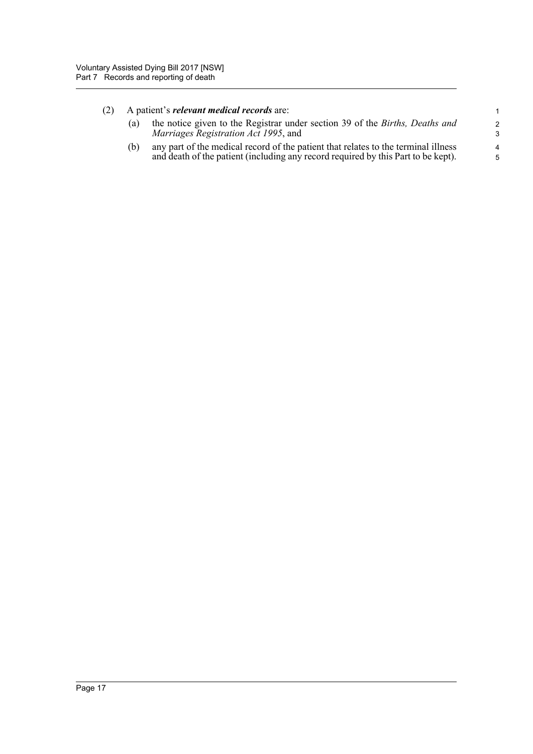#### (2) A patient's *relevant medical records* are:

| (a) the notice given to the Registrar under section 39 of the <i>Births</i> , <i>Deaths and</i><br><i>Marriages Registration Act 1995</i> , and |  |
|-------------------------------------------------------------------------------------------------------------------------------------------------|--|
|-------------------------------------------------------------------------------------------------------------------------------------------------|--|

(b) any part of the medical record of the patient that relates to the terminal illness and death of the patient (including any record required by this Part to be kept).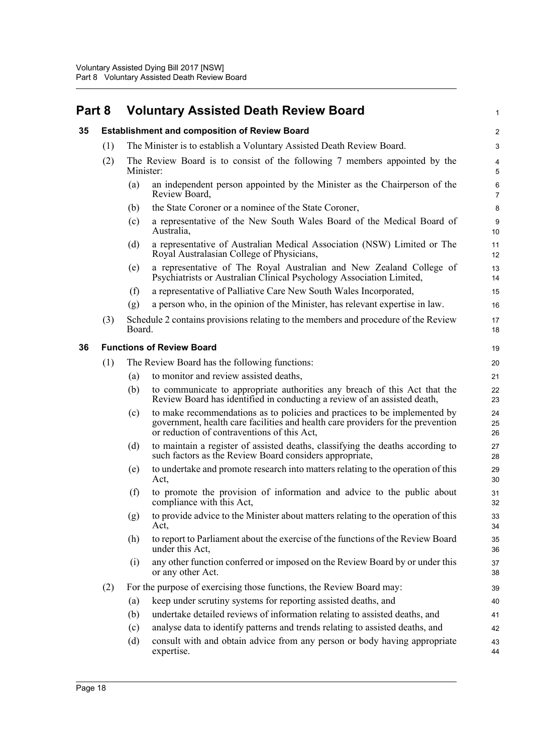<span id="page-26-2"></span><span id="page-26-1"></span><span id="page-26-0"></span>

| Part 8 |                                  | <b>Voluntary Assisted Death Review Board</b>         |                                                                                                                                                                                                             | 1                   |
|--------|----------------------------------|------------------------------------------------------|-------------------------------------------------------------------------------------------------------------------------------------------------------------------------------------------------------------|---------------------|
| 35     |                                  | <b>Establishment and composition of Review Board</b> |                                                                                                                                                                                                             |                     |
|        | (1)                              |                                                      | The Minister is to establish a Voluntary Assisted Death Review Board.                                                                                                                                       | 3                   |
|        | (2)                              | Minister:                                            | The Review Board is to consist of the following 7 members appointed by the                                                                                                                                  | 4<br>5              |
|        |                                  | (a)                                                  | an independent person appointed by the Minister as the Chairperson of the<br>Review Board,                                                                                                                  | 6<br>$\overline{7}$ |
|        |                                  | (b)                                                  | the State Coroner or a nominee of the State Coroner,                                                                                                                                                        | 8                   |
|        |                                  | (c)                                                  | a representative of the New South Wales Board of the Medical Board of<br>Australia,                                                                                                                         | 9<br>10             |
|        |                                  | (d)                                                  | a representative of Australian Medical Association (NSW) Limited or The<br>Royal Australasian College of Physicians,                                                                                        | 11<br>12            |
|        |                                  | (e)                                                  | a representative of The Royal Australian and New Zealand College of<br>Psychiatrists or Australian Clinical Psychology Association Limited,                                                                 | 13<br>14            |
|        |                                  | (f)                                                  | a representative of Palliative Care New South Wales Incorporated,                                                                                                                                           | 15                  |
|        |                                  | (g)                                                  | a person who, in the opinion of the Minister, has relevant expertise in law.                                                                                                                                | 16                  |
|        | (3)                              | Board.                                               | Schedule 2 contains provisions relating to the members and procedure of the Review                                                                                                                          | 17<br>18            |
| 36     | <b>Functions of Review Board</b> |                                                      |                                                                                                                                                                                                             | 19                  |
|        | (1)                              |                                                      | The Review Board has the following functions:                                                                                                                                                               | 20                  |
|        |                                  | (a)                                                  | to monitor and review assisted deaths,                                                                                                                                                                      | 21                  |
|        |                                  | (b)                                                  | to communicate to appropriate authorities any breach of this Act that the<br>Review Board has identified in conducting a review of an assisted death,                                                       | 22<br>23            |
|        |                                  | (c)                                                  | to make recommendations as to policies and practices to be implemented by<br>government, health care facilities and health care providers for the prevention<br>or reduction of contraventions of this Act, | 24<br>25<br>26      |
|        |                                  | (d)                                                  | to maintain a register of assisted deaths, classifying the deaths according to<br>such factors as the Review Board considers appropriate,                                                                   | 27<br>28            |
|        |                                  | (e)                                                  | to undertake and promote research into matters relating to the operation of this<br>Act,                                                                                                                    | 29<br>30            |
|        |                                  | (f)                                                  | to promote the provision of information and advice to the public about<br>compliance with this Act,                                                                                                         | 31<br>32            |
|        |                                  | (g)                                                  | to provide advice to the Minister about matters relating to the operation of this<br>Act,                                                                                                                   | 33<br>34            |
|        |                                  | (h)                                                  | to report to Parliament about the exercise of the functions of the Review Board<br>under this Act,                                                                                                          | 35<br>36            |
|        |                                  | (i)                                                  | any other function conferred or imposed on the Review Board by or under this<br>or any other Act.                                                                                                           | 37<br>38            |
|        | (2)                              |                                                      | For the purpose of exercising those functions, the Review Board may:                                                                                                                                        | 39                  |
|        |                                  | (a)                                                  | keep under scrutiny systems for reporting assisted deaths, and                                                                                                                                              | 40                  |
|        |                                  | (b)                                                  | undertake detailed reviews of information relating to assisted deaths, and                                                                                                                                  | 41                  |
|        |                                  | (c)                                                  | analyse data to identify patterns and trends relating to assisted deaths, and                                                                                                                               | 42                  |
|        |                                  | (d)                                                  | consult with and obtain advice from any person or body having appropriate<br>expertise.                                                                                                                     | 43<br>44            |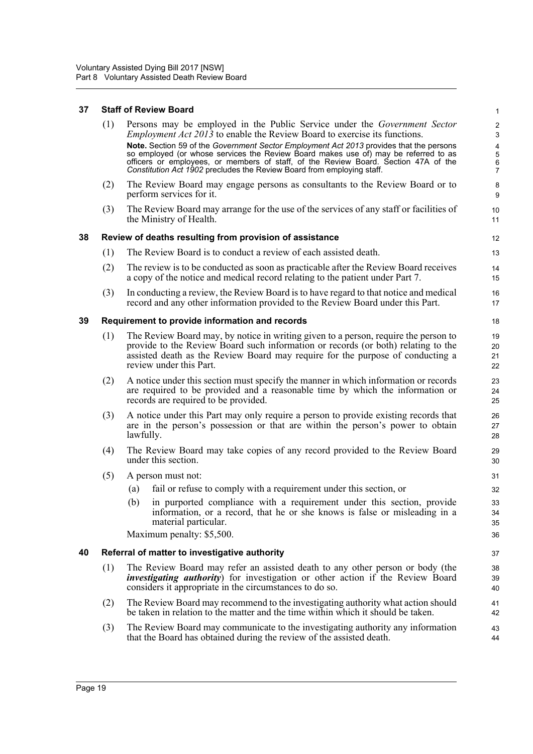#### <span id="page-27-0"></span>**37 Staff of Review Board**

<span id="page-27-3"></span><span id="page-27-2"></span><span id="page-27-1"></span>

|    | (1) | Persons may be employed in the Public Service under the <i>Government Sector</i><br><i>Employment Act 2013</i> to enable the Review Board to exercise its functions.<br>Note. Section 59 of the Government Sector Employment Act 2013 provides that the persons<br>so employed (or whose services the Review Board makes use of) may be referred to as<br>officers or employees, or members of staff, of the Review Board. Section 47A of the | $\boldsymbol{2}$<br>$\mathbf{3}$<br>$\pmb{4}$<br>5<br>6 |
|----|-----|-----------------------------------------------------------------------------------------------------------------------------------------------------------------------------------------------------------------------------------------------------------------------------------------------------------------------------------------------------------------------------------------------------------------------------------------------|---------------------------------------------------------|
|    | (2) | Constitution Act 1902 precludes the Review Board from employing staff.<br>The Review Board may engage persons as consultants to the Review Board or to<br>perform services for it.                                                                                                                                                                                                                                                            | $\overline{7}$<br>8<br>9                                |
|    | (3) | The Review Board may arrange for the use of the services of any staff or facilities of<br>the Ministry of Health.                                                                                                                                                                                                                                                                                                                             | 10<br>11                                                |
| 38 |     | Review of deaths resulting from provision of assistance                                                                                                                                                                                                                                                                                                                                                                                       | 12                                                      |
|    | (1) | The Review Board is to conduct a review of each assisted death.                                                                                                                                                                                                                                                                                                                                                                               | 13                                                      |
|    | (2) | The review is to be conducted as soon as practicable after the Review Board receives<br>a copy of the notice and medical record relating to the patient under Part 7.                                                                                                                                                                                                                                                                         | 14<br>15                                                |
|    | (3) | In conducting a review, the Review Board is to have regard to that notice and medical<br>record and any other information provided to the Review Board under this Part.                                                                                                                                                                                                                                                                       | 16<br>17                                                |
| 39 |     | Requirement to provide information and records                                                                                                                                                                                                                                                                                                                                                                                                | 18                                                      |
|    | (1) | The Review Board may, by notice in writing given to a person, require the person to<br>provide to the Review Board such information or records (or both) relating to the<br>assisted death as the Review Board may require for the purpose of conducting a<br>review under this Part.                                                                                                                                                         | 19<br>20<br>21<br>22                                    |
|    | (2) | A notice under this section must specify the manner in which information or records<br>are required to be provided and a reasonable time by which the information or<br>records are required to be provided.                                                                                                                                                                                                                                  | 23<br>24<br>25                                          |
|    | (3) | A notice under this Part may only require a person to provide existing records that<br>are in the person's possession or that are within the person's power to obtain<br>lawfully.                                                                                                                                                                                                                                                            | 26<br>27<br>28                                          |
|    | (4) | The Review Board may take copies of any record provided to the Review Board<br>under this section.                                                                                                                                                                                                                                                                                                                                            | 29<br>30                                                |
|    | (5) | A person must not:                                                                                                                                                                                                                                                                                                                                                                                                                            | 31                                                      |
|    |     | fail or refuse to comply with a requirement under this section, or<br>(a)                                                                                                                                                                                                                                                                                                                                                                     | 32                                                      |
|    |     | in purported compliance with a requirement under this section, provide<br>(b)<br>information, or a record, that he or she knows is false or misleading in a<br>material particular.                                                                                                                                                                                                                                                           | 33<br>34<br>35                                          |
|    |     | Maximum penalty: \$5,500.                                                                                                                                                                                                                                                                                                                                                                                                                     | 36                                                      |
| 40 |     | Referral of matter to investigative authority                                                                                                                                                                                                                                                                                                                                                                                                 | 37                                                      |
|    | (1) | The Review Board may refer an assisted death to any other person or body (the<br><i>investigating authority</i> ) for investigation or other action if the Review Board<br>considers it appropriate in the circumstances to do so.                                                                                                                                                                                                            | 38<br>39<br>40                                          |
|    | (2) | The Review Board may recommend to the investigating authority what action should<br>be taken in relation to the matter and the time within which it should be taken.                                                                                                                                                                                                                                                                          | 41<br>42                                                |
|    | (3) | The Review Board may communicate to the investigating authority any information<br>that the Board has obtained during the review of the assisted death.                                                                                                                                                                                                                                                                                       | 43<br>44                                                |
|    |     |                                                                                                                                                                                                                                                                                                                                                                                                                                               |                                                         |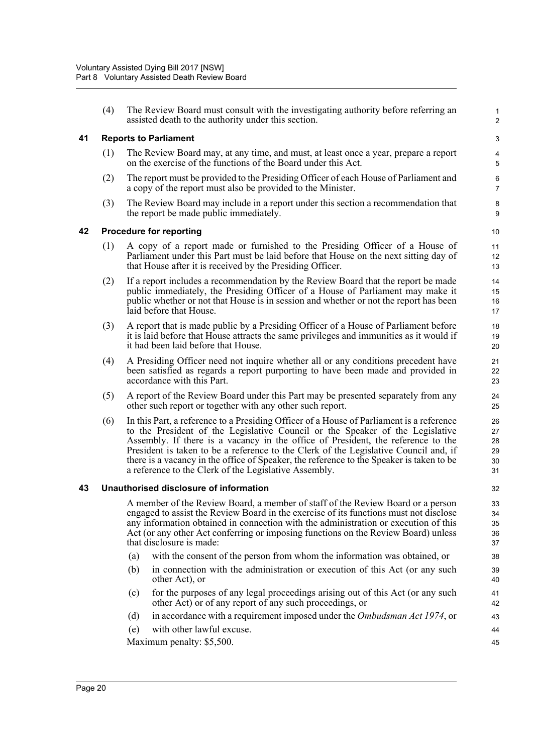(4) The Review Board must consult with the investigating authority before referring an assisted death to the authority under this section.

1 2

#### <span id="page-28-0"></span>**41 Reports to Parliament**

- (1) The Review Board may, at any time, and must, at least once a year, prepare a report on the exercise of the functions of the Board under this Act.
- (2) The report must be provided to the Presiding Officer of each House of Parliament and a copy of the report must also be provided to the Minister.
- (3) The Review Board may include in a report under this section a recommendation that the report be made public immediately.

#### <span id="page-28-1"></span>**42 Procedure for reporting**

- (1) A copy of a report made or furnished to the Presiding Officer of a House of Parliament under this Part must be laid before that House on the next sitting day of that House after it is received by the Presiding Officer.
- (2) If a report includes a recommendation by the Review Board that the report be made public immediately, the Presiding Officer of a House of Parliament may make it public whether or not that House is in session and whether or not the report has been laid before that House.
- (3) A report that is made public by a Presiding Officer of a House of Parliament before it is laid before that House attracts the same privileges and immunities as it would if it had been laid before that House.
- (4) A Presiding Officer need not inquire whether all or any conditions precedent have been satisfied as regards a report purporting to have been made and provided in accordance with this Part.
- (5) A report of the Review Board under this Part may be presented separately from any other such report or together with any other such report.
- (6) In this Part, a reference to a Presiding Officer of a House of Parliament is a reference to the President of the Legislative Council or the Speaker of the Legislative Assembly. If there is a vacancy in the office of President, the reference to the President is taken to be a reference to the Clerk of the Legislative Council and, if there is a vacancy in the office of Speaker, the reference to the Speaker is taken to be a reference to the Clerk of the Legislative Assembly.

#### <span id="page-28-2"></span>**43 Unauthorised disclosure of information**

A member of the Review Board, a member of staff of the Review Board or a person engaged to assist the Review Board in the exercise of its functions must not disclose any information obtained in connection with the administration or execution of this Act (or any other Act conferring or imposing functions on the Review Board) unless that disclosure is made:

- (a) with the consent of the person from whom the information was obtained, or
- (b) in connection with the administration or execution of this Act (or any such other Act), or
- (c) for the purposes of any legal proceedings arising out of this Act (or any such other Act) or of any report of any such proceedings, or
- (d) in accordance with a requirement imposed under the *Ombudsman Act 1974*, or
- (e) with other lawful excuse.

Maximum penalty: \$5,500.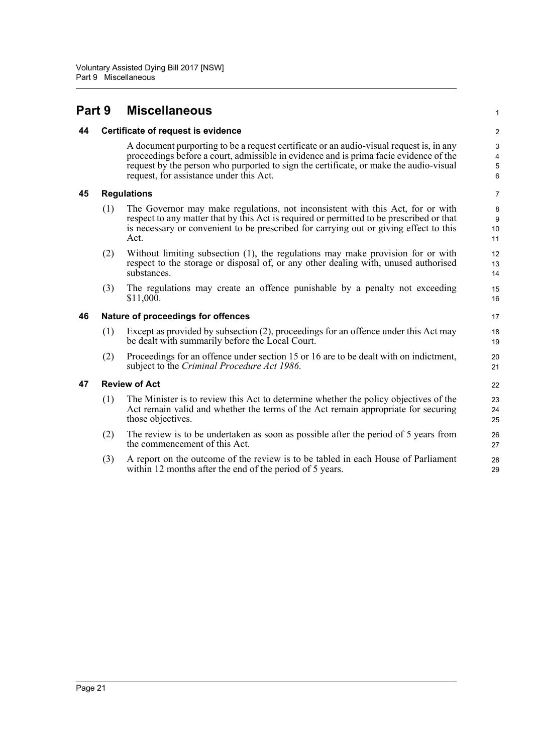## <span id="page-29-0"></span>**Part 9 Miscellaneous**

#### <span id="page-29-1"></span>**44 Certificate of request is evidence**

A document purporting to be a request certificate or an audio-visual request is, in any proceedings before a court, admissible in evidence and is prima facie evidence of the request by the person who purported to sign the certificate, or make the audio-visual request, for assistance under this Act.

1

#### <span id="page-29-2"></span>**45 Regulations**

- (1) The Governor may make regulations, not inconsistent with this Act, for or with respect to any matter that by this Act is required or permitted to be prescribed or that is necessary or convenient to be prescribed for carrying out or giving effect to this Act.
- (2) Without limiting subsection (1), the regulations may make provision for or with respect to the storage or disposal of, or any other dealing with, unused authorised substances.
- (3) The regulations may create an offence punishable by a penalty not exceeding \$11,000.

#### <span id="page-29-3"></span>**46 Nature of proceedings for offences**

- (1) Except as provided by subsection (2), proceedings for an offence under this Act may be dealt with summarily before the Local Court.
- (2) Proceedings for an offence under section 15 or 16 are to be dealt with on indictment, subject to the *Criminal Procedure Act 1986*.

#### <span id="page-29-4"></span>**47 Review of Act**

- (1) The Minister is to review this Act to determine whether the policy objectives of the Act remain valid and whether the terms of the Act remain appropriate for securing those objectives.
- (2) The review is to be undertaken as soon as possible after the period of 5 years from the commencement of this Act.
- (3) A report on the outcome of the review is to be tabled in each House of Parliament within 12 months after the end of the period of 5 years.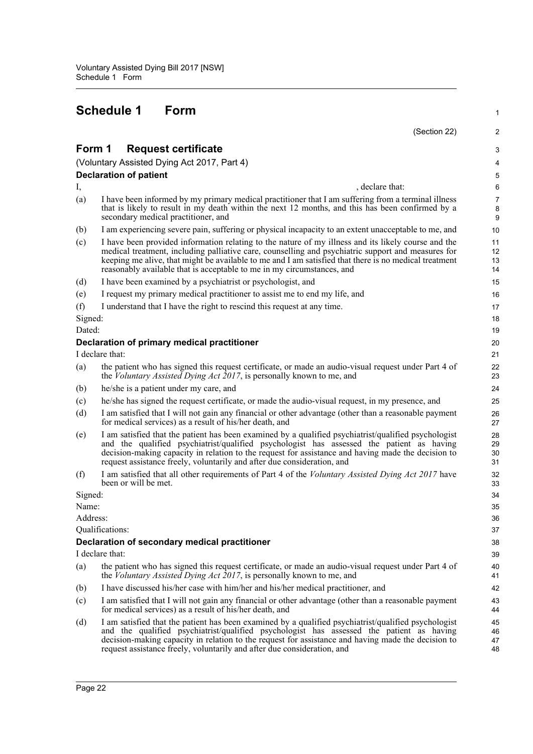# **Schedule 1 Form**

<span id="page-30-0"></span>

| I have been informed by my primary medical practitioner that I am suffering from a terminal illness<br>that is likely to result in my death within the next 12 months, and this has been confirmed by a<br>I am experiencing severe pain, suffering or physical incapacity to an extent unacceptable to me, and<br>I have been provided information relating to the nature of my illness and its likely course and the<br>medical treatment, including palliative care, counselling and psychiatric support and measures for<br>keeping me alive, that might be available to me and I am satisfied that there is no medical treatment | 3                                                                                                                                                                                                            |
|---------------------------------------------------------------------------------------------------------------------------------------------------------------------------------------------------------------------------------------------------------------------------------------------------------------------------------------------------------------------------------------------------------------------------------------------------------------------------------------------------------------------------------------------------------------------------------------------------------------------------------------|--------------------------------------------------------------------------------------------------------------------------------------------------------------------------------------------------------------|
|                                                                                                                                                                                                                                                                                                                                                                                                                                                                                                                                                                                                                                       | 4<br>$\mathbf 5$<br>6<br>$\overline{7}$<br>$\bf 8$<br>$9\,$<br>10<br>11<br>12<br>13<br>14                                                                                                                    |
|                                                                                                                                                                                                                                                                                                                                                                                                                                                                                                                                                                                                                                       |                                                                                                                                                                                                              |
|                                                                                                                                                                                                                                                                                                                                                                                                                                                                                                                                                                                                                                       |                                                                                                                                                                                                              |
|                                                                                                                                                                                                                                                                                                                                                                                                                                                                                                                                                                                                                                       |                                                                                                                                                                                                              |
|                                                                                                                                                                                                                                                                                                                                                                                                                                                                                                                                                                                                                                       |                                                                                                                                                                                                              |
|                                                                                                                                                                                                                                                                                                                                                                                                                                                                                                                                                                                                                                       |                                                                                                                                                                                                              |
|                                                                                                                                                                                                                                                                                                                                                                                                                                                                                                                                                                                                                                       |                                                                                                                                                                                                              |
|                                                                                                                                                                                                                                                                                                                                                                                                                                                                                                                                                                                                                                       | 15                                                                                                                                                                                                           |
|                                                                                                                                                                                                                                                                                                                                                                                                                                                                                                                                                                                                                                       | 16                                                                                                                                                                                                           |
|                                                                                                                                                                                                                                                                                                                                                                                                                                                                                                                                                                                                                                       | 17                                                                                                                                                                                                           |
|                                                                                                                                                                                                                                                                                                                                                                                                                                                                                                                                                                                                                                       | 18                                                                                                                                                                                                           |
|                                                                                                                                                                                                                                                                                                                                                                                                                                                                                                                                                                                                                                       | 19                                                                                                                                                                                                           |
|                                                                                                                                                                                                                                                                                                                                                                                                                                                                                                                                                                                                                                       | 20                                                                                                                                                                                                           |
|                                                                                                                                                                                                                                                                                                                                                                                                                                                                                                                                                                                                                                       | 21                                                                                                                                                                                                           |
|                                                                                                                                                                                                                                                                                                                                                                                                                                                                                                                                                                                                                                       | 22<br>23                                                                                                                                                                                                     |
|                                                                                                                                                                                                                                                                                                                                                                                                                                                                                                                                                                                                                                       | 24                                                                                                                                                                                                           |
| he/she has signed the request certificate, or made the audio-visual request, in my presence, and                                                                                                                                                                                                                                                                                                                                                                                                                                                                                                                                      | 25                                                                                                                                                                                                           |
| I am satisfied that I will not gain any financial or other advantage (other than a reasonable payment                                                                                                                                                                                                                                                                                                                                                                                                                                                                                                                                 | 26<br>27                                                                                                                                                                                                     |
| I am satisfied that the patient has been examined by a qualified psychiatrist/qualified psychologist<br>and the qualified psychiatrist/qualified psychologist has assessed the patient as having<br>decision-making capacity in relation to the request for assistance and having made the decision to                                                                                                                                                                                                                                                                                                                                | 28<br>29<br>30<br>31                                                                                                                                                                                         |
| I am satisfied that all other requirements of Part 4 of the Voluntary Assisted Dying Act 2017 have                                                                                                                                                                                                                                                                                                                                                                                                                                                                                                                                    | 32<br>33                                                                                                                                                                                                     |
|                                                                                                                                                                                                                                                                                                                                                                                                                                                                                                                                                                                                                                       | 34                                                                                                                                                                                                           |
|                                                                                                                                                                                                                                                                                                                                                                                                                                                                                                                                                                                                                                       | 35                                                                                                                                                                                                           |
|                                                                                                                                                                                                                                                                                                                                                                                                                                                                                                                                                                                                                                       | 36                                                                                                                                                                                                           |
|                                                                                                                                                                                                                                                                                                                                                                                                                                                                                                                                                                                                                                       | 37                                                                                                                                                                                                           |
|                                                                                                                                                                                                                                                                                                                                                                                                                                                                                                                                                                                                                                       | 38                                                                                                                                                                                                           |
|                                                                                                                                                                                                                                                                                                                                                                                                                                                                                                                                                                                                                                       | 39                                                                                                                                                                                                           |
|                                                                                                                                                                                                                                                                                                                                                                                                                                                                                                                                                                                                                                       | 40<br>41                                                                                                                                                                                                     |
|                                                                                                                                                                                                                                                                                                                                                                                                                                                                                                                                                                                                                                       | 42                                                                                                                                                                                                           |
| I am satisfied that I will not gain any financial or other advantage (other than a reasonable payment                                                                                                                                                                                                                                                                                                                                                                                                                                                                                                                                 | 43<br>44                                                                                                                                                                                                     |
| I am satisfied that the patient has been examined by a qualified psychiatrist/qualified psychologist<br>and the qualified psychiatrist/qualified psychologist has assessed the patient as having<br>decision-making capacity in relation to the request for assistance and having made the decision to                                                                                                                                                                                                                                                                                                                                | 45<br>46<br>47<br>48                                                                                                                                                                                         |
|                                                                                                                                                                                                                                                                                                                                                                                                                                                                                                                                                                                                                                       | the patient who has signed this request certificate, or made an audio-visual request under Part 4 of<br>the patient who has signed this request certificate, or made an audio-visual request under Part 4 of |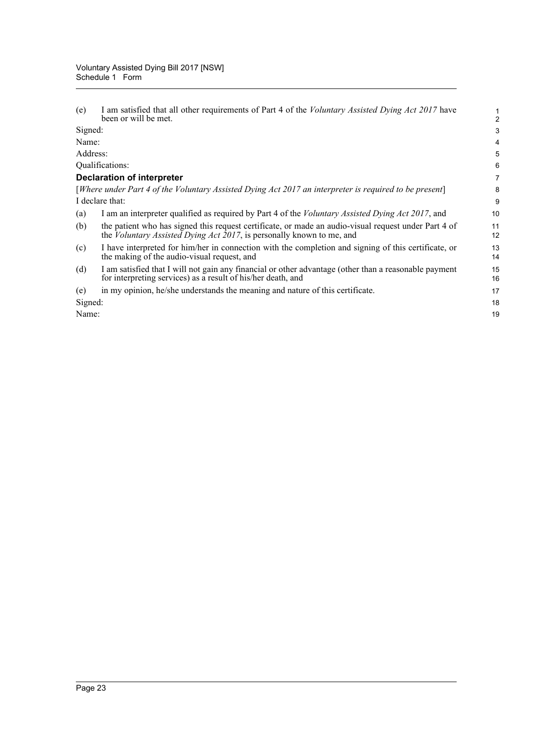(e) I am satisfied that all other requirements of Part 4 of the *Voluntary Assisted Dying Act 2017* have been or will be met. Signed: Name:

Address:

Qualifications:

#### **Declaration of interpreter**

[*Where under Part 4 of the Voluntary Assisted Dying Act 2017 an interpreter is required to be present*] I declare that:

- (a) I am an interpreter qualified as required by Part 4 of the *Voluntary Assisted Dying Act 2017*, and
- (b) the patient who has signed this request certificate, or made an audio-visual request under Part 4 of the *Voluntary Assisted Dying Act 2017*, is personally known to me, and
- (c) I have interpreted for him/her in connection with the completion and signing of this certificate, or the making of the audio-visual request, and
- (d) I am satisfied that I will not gain any financial or other advantage (other than a reasonable payment for interpreting services) as a result of his/her death, and
- (e) in my opinion, he/she understands the meaning and nature of this certificate.

Signed:

Name: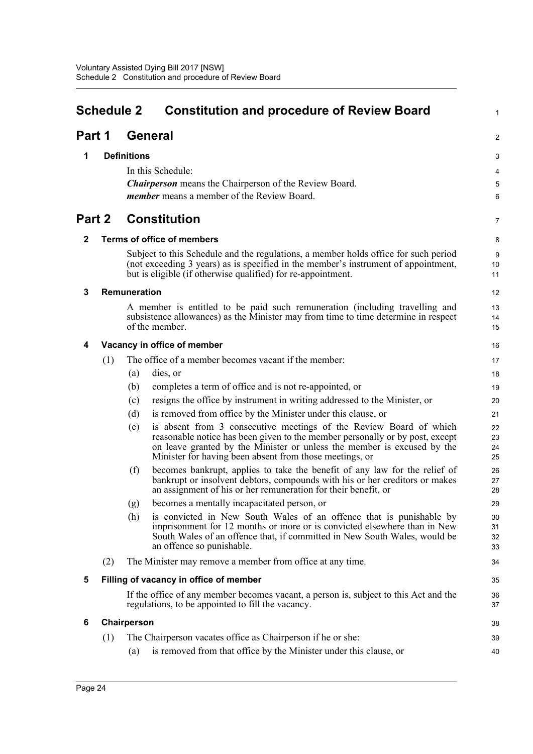<span id="page-32-0"></span>

| <b>Schedule 2</b> |                                   |                     | <b>Constitution and procedure of Review Board</b>                                                                                                                                                                                                                                        | 1                    |
|-------------------|-----------------------------------|---------------------|------------------------------------------------------------------------------------------------------------------------------------------------------------------------------------------------------------------------------------------------------------------------------------------|----------------------|
| Part 1            |                                   |                     | <b>General</b>                                                                                                                                                                                                                                                                           | 2                    |
| 1                 |                                   | <b>Definitions</b>  |                                                                                                                                                                                                                                                                                          | 3                    |
|                   |                                   |                     | In this Schedule:                                                                                                                                                                                                                                                                        | 4                    |
|                   |                                   |                     | <b>Chairperson</b> means the Chairperson of the Review Board.                                                                                                                                                                                                                            | 5                    |
|                   |                                   |                     | member means a member of the Review Board.                                                                                                                                                                                                                                               | 6                    |
|                   | Part 2<br><b>Constitution</b>     |                     |                                                                                                                                                                                                                                                                                          |                      |
| $\mathbf{2}$      | <b>Terms of office of members</b> |                     |                                                                                                                                                                                                                                                                                          | 8                    |
|                   |                                   |                     | Subject to this Schedule and the regulations, a member holds office for such period<br>(not exceeding 3 years) as is specified in the member's instrument of appointment,<br>but is eligible (if otherwise qualified) for re-appointment.                                                | 9<br>10<br>11        |
| 3                 |                                   | <b>Remuneration</b> |                                                                                                                                                                                                                                                                                          | 12                   |
|                   |                                   |                     | A member is entitled to be paid such remuneration (including travelling and<br>subsistence allowances) as the Minister may from time to time determine in respect<br>of the member.                                                                                                      | 13<br>14<br>15       |
| 4                 |                                   |                     | Vacancy in office of member                                                                                                                                                                                                                                                              | 16                   |
|                   | (1)                               |                     | The office of a member becomes vacant if the member:                                                                                                                                                                                                                                     | 17                   |
|                   |                                   | (a)                 | dies, or                                                                                                                                                                                                                                                                                 | 18                   |
|                   |                                   | (b)                 | completes a term of office and is not re-appointed, or                                                                                                                                                                                                                                   | 19                   |
|                   |                                   | (c)                 | resigns the office by instrument in writing addressed to the Minister, or                                                                                                                                                                                                                | 20                   |
|                   |                                   | (d)                 | is removed from office by the Minister under this clause, or                                                                                                                                                                                                                             | 21                   |
|                   |                                   | (e)                 | is absent from 3 consecutive meetings of the Review Board of which<br>reasonable notice has been given to the member personally or by post, except<br>on leave granted by the Minister or unless the member is excused by the<br>Minister for having been absent from those meetings, or | 22<br>23<br>24<br>25 |
|                   |                                   | (f)                 | becomes bankrupt, applies to take the benefit of any law for the relief of<br>bankrupt or insolvent debtors, compounds with his or her creditors or makes<br>an assignment of his or her remuneration for their benefit, or                                                              | 26<br>27<br>28       |
|                   |                                   | (g)                 | becomes a mentally incapacitated person, or                                                                                                                                                                                                                                              | 29                   |
|                   |                                   | (h)                 | is convicted in New South Wales of an offence that is punishable by<br>imprisonment for 12 months or more or is convicted elsewhere than in New<br>South Wales of an offence that, if committed in New South Wales, would be<br>an offence so punishable.                                | 30<br>31<br>32<br>33 |
|                   | (2)                               |                     | The Minister may remove a member from office at any time.                                                                                                                                                                                                                                | 34                   |
| 5                 |                                   |                     | Filling of vacancy in office of member                                                                                                                                                                                                                                                   | 35                   |
|                   |                                   |                     | If the office of any member becomes vacant, a person is, subject to this Act and the<br>regulations, to be appointed to fill the vacancy.                                                                                                                                                | 36<br>37             |
| 6                 |                                   | Chairperson         |                                                                                                                                                                                                                                                                                          | 38                   |
|                   | (1)                               |                     | The Chairperson vacates office as Chairperson if he or she:                                                                                                                                                                                                                              | 39                   |
|                   |                                   | (a)                 | is removed from that office by the Minister under this clause, or                                                                                                                                                                                                                        | 40                   |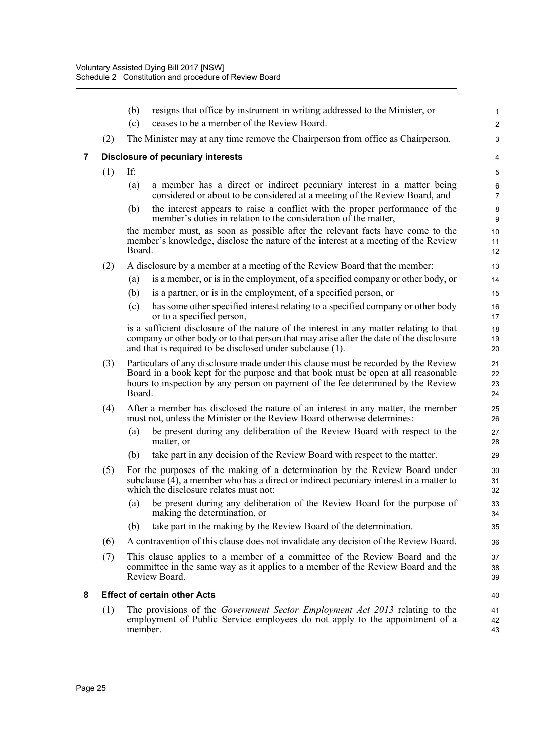|   |     | (b)     | resigns that office by instrument in writing addressed to the Minister, or                                                                                                                                                                                   | $\mathbf{1}$         |
|---|-----|---------|--------------------------------------------------------------------------------------------------------------------------------------------------------------------------------------------------------------------------------------------------------------|----------------------|
|   |     | (c)     | ceases to be a member of the Review Board.                                                                                                                                                                                                                   | $\overline{2}$       |
|   | (2) |         | The Minister may at any time remove the Chairperson from office as Chairperson.                                                                                                                                                                              | 3                    |
| 7 |     |         | <b>Disclosure of pecuniary interests</b>                                                                                                                                                                                                                     | 4                    |
|   | (1) | If:     |                                                                                                                                                                                                                                                              | $\,$ 5 $\,$          |
|   |     | (a)     | a member has a direct or indirect pecuniary interest in a matter being<br>considered or about to be considered at a meeting of the Review Board, and                                                                                                         | 6<br>$\overline{7}$  |
|   |     | (b)     | the interest appears to raise a conflict with the proper performance of the<br>member's duties in relation to the consideration of the matter,                                                                                                               | $\bf8$<br>9          |
|   |     | Board.  | the member must, as soon as possible after the relevant facts have come to the<br>member's knowledge, disclose the nature of the interest at a meeting of the Review                                                                                         | 10<br>11<br>12       |
|   | (2) |         | A disclosure by a member at a meeting of the Review Board that the member:                                                                                                                                                                                   | 13                   |
|   |     | (a)     | is a member, or is in the employment, of a specified company or other body, or                                                                                                                                                                               | 14                   |
|   |     | (b)     | is a partner, or is in the employment, of a specified person, or                                                                                                                                                                                             | 15                   |
|   |     | (c)     | has some other specified interest relating to a specified company or other body<br>or to a specified person,                                                                                                                                                 | 16<br>17             |
|   |     |         | is a sufficient disclosure of the nature of the interest in any matter relating to that<br>company or other body or to that person that may arise after the date of the disclosure<br>and that is required to be disclosed under subclause (1).              | 18<br>19<br>20       |
|   | (3) | Board.  | Particulars of any disclosure made under this clause must be recorded by the Review<br>Board in a book kept for the purpose and that book must be open at all reasonable<br>hours to inspection by any person on payment of the fee determined by the Review | 21<br>22<br>23<br>24 |
|   | (4) |         | After a member has disclosed the nature of an interest in any matter, the member<br>must not, unless the Minister or the Review Board otherwise determines:                                                                                                  | 25<br>26             |
|   |     | (a)     | be present during any deliberation of the Review Board with respect to the<br>matter, or                                                                                                                                                                     | 27<br>28             |
|   |     | (b)     | take part in any decision of the Review Board with respect to the matter.                                                                                                                                                                                    | 29                   |
|   | (5) |         | For the purposes of the making of a determination by the Review Board under<br>subclause $(4)$ , a member who has a direct or indirect pecuniary interest in a matter to<br>which the disclosure relates must not:                                           | 30<br>31<br>32       |
|   |     |         | (a) be present during any deliberation of the Review Board for the purpose of<br>making the determination, or                                                                                                                                                | 33<br>34             |
|   |     | (b)     | take part in the making by the Review Board of the determination.                                                                                                                                                                                            | 35                   |
|   | (6) |         | A contravention of this clause does not invalidate any decision of the Review Board.                                                                                                                                                                         | 36                   |
|   | (7) |         | This clause applies to a member of a committee of the Review Board and the<br>committee in the same way as it applies to a member of the Review Board and the<br>Review Board.                                                                               | 37<br>38<br>39       |
| 8 |     |         | <b>Effect of certain other Acts</b>                                                                                                                                                                                                                          | 40                   |
|   | (1) | member. | The provisions of the <i>Government Sector Employment Act 2013</i> relating to the<br>employment of Public Service employees do not apply to the appointment of a                                                                                            | 41<br>42<br>43       |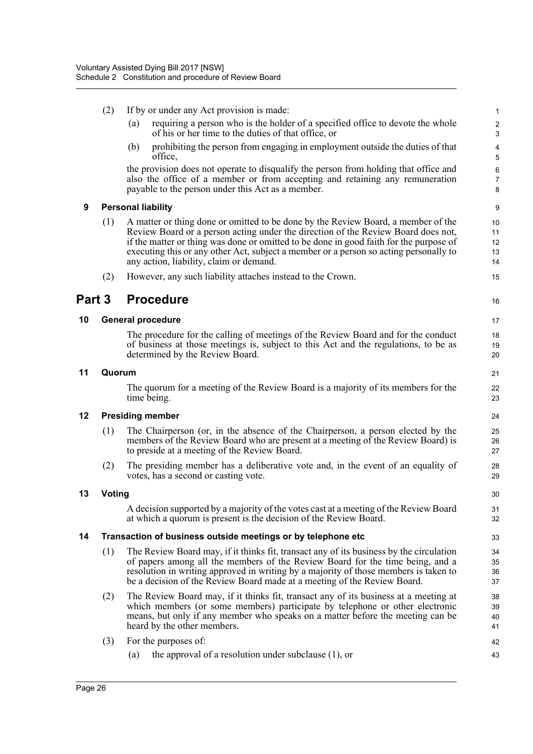- (2) If by or under any Act provision is made:
	- (a) requiring a person who is the holder of a specified office to devote the whole of his or her time to the duties of that office, or
	- (b) prohibiting the person from engaging in employment outside the duties of that office,

the provision does not operate to disqualify the person from holding that office and also the office of a member or from accepting and retaining any remuneration payable to the person under this Act as a member.

#### **9 Personal liability**

- (1) A matter or thing done or omitted to be done by the Review Board, a member of the Review Board or a person acting under the direction of the Review Board does not, if the matter or thing was done or omitted to be done in good faith for the purpose of executing this or any other Act, subject a member or a person so acting personally to any action, liability, claim or demand.
- (2) However, any such liability attaches instead to the Crown.

### **Part 3 Procedure**

#### **10 General procedure**

The procedure for the calling of meetings of the Review Board and for the conduct of business at those meetings is, subject to this Act and the regulations, to be as determined by the Review Board.

#### **11 Quorum**

The quorum for a meeting of the Review Board is a majority of its members for the time being.

#### **12 Presiding member**

- (1) The Chairperson (or, in the absence of the Chairperson, a person elected by the members of the Review Board who are present at a meeting of the Review Board) is to preside at a meeting of the Review Board.
- (2) The presiding member has a deliberative vote and, in the event of an equality of votes, has a second or casting vote.

#### **13 Voting**

A decision supported by a majority of the votes cast at a meeting of the Review Board at which a quorum is present is the decision of the Review Board.

#### **14 Transaction of business outside meetings or by telephone etc**

- (1) The Review Board may, if it thinks fit, transact any of its business by the circulation of papers among all the members of the Review Board for the time being, and a resolution in writing approved in writing by a majority of those members is taken to be a decision of the Review Board made at a meeting of the Review Board.
- (2) The Review Board may, if it thinks fit, transact any of its business at a meeting at which members (or some members) participate by telephone or other electronic means, but only if any member who speaks on a matter before the meeting can be heard by the other members.
- (3) For the purposes of:
	- (a) the approval of a resolution under subclause (1), or

16

21  $22$ 23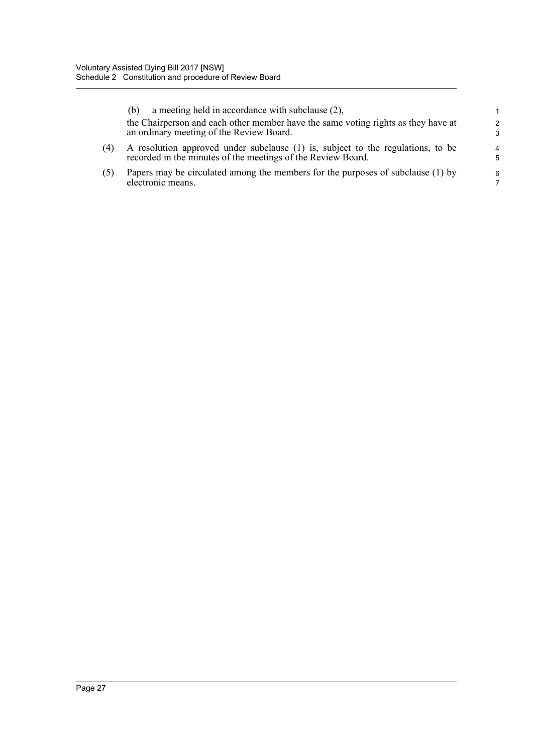|     | a meeting held in accordance with subclause (2),<br>(b)                                                                                         | 1                   |
|-----|-------------------------------------------------------------------------------------------------------------------------------------------------|---------------------|
|     | the Chairperson and each other member have the same voting rights as they have at<br>an ordinary meeting of the Review Board.                   | $\mathcal{P}$<br>3  |
| (4) | A resolution approved under subclause (1) is, subject to the regulations, to be<br>recorded in the minutes of the meetings of the Review Board. | $\overline{4}$<br>5 |
| (5) | Papers may be circulated among the members for the purposes of subclause (1) by<br>electronic means.                                            | 6<br>7              |